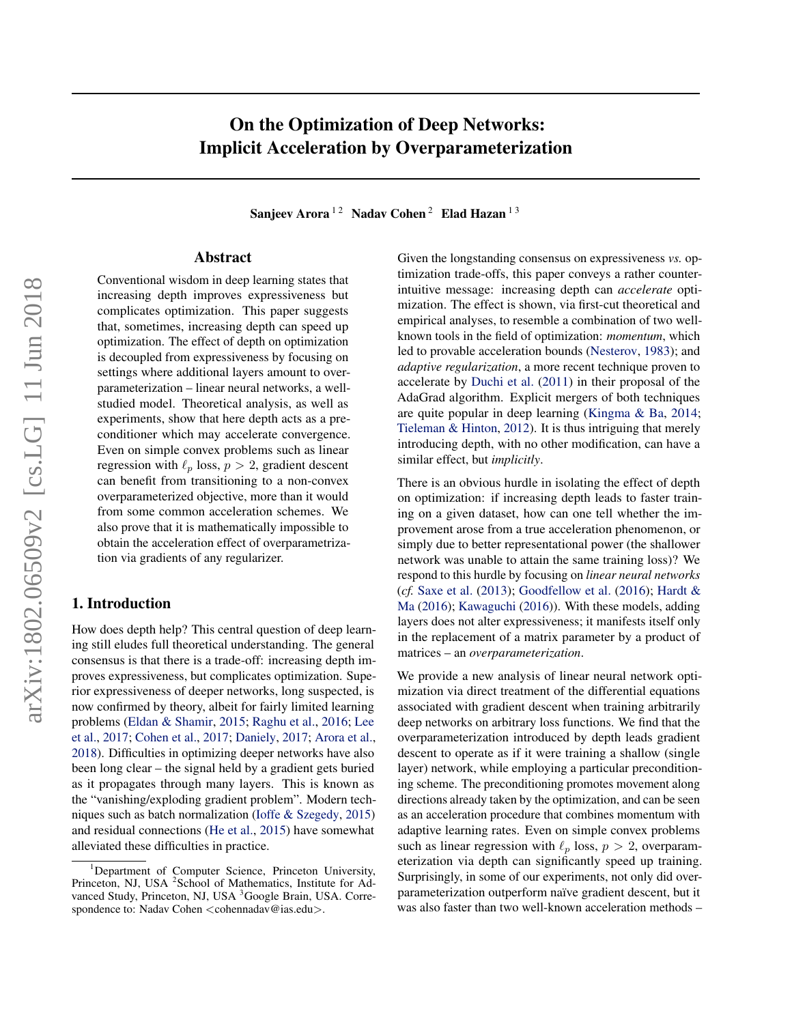# On the Optimization of Deep Networks: Implicit Acceleration by Overparameterization

Sanjeev Arora<sup>12</sup> Nadav Cohen<sup>2</sup> Elad Hazan<sup>13</sup>

## Abstract

Conventional wisdom in deep learning states that increasing depth improves expressiveness but complicates optimization. This paper suggests that, sometimes, increasing depth can speed up optimization. The effect of depth on optimization is decoupled from expressiveness by focusing on settings where additional layers amount to overparameterization – linear neural networks, a wellstudied model. Theoretical analysis, as well as experiments, show that here depth acts as a preconditioner which may accelerate convergence. Even on simple convex problems such as linear regression with  $\ell_p$  loss,  $p > 2$ , gradient descent can benefit from transitioning to a non-convex overparameterized objective, more than it would from some common acceleration schemes. We also prove that it is mathematically impossible to obtain the acceleration effect of overparametrization via gradients of any regularizer.

## 1. Introduction

How does depth help? This central question of deep learning still eludes full theoretical understanding. The general consensus is that there is a trade-off: increasing depth improves expressiveness, but complicates optimization. Superior expressiveness of deeper networks, long suspected, is now confirmed by theory, albeit for fairly limited learning problems [\(Eldan & Shamir,](#page-9-0) [2015;](#page-9-0) [Raghu et al.,](#page-9-0) [2016;](#page-9-0) [Lee](#page-9-0) [et al.,](#page-9-0) [2017;](#page-9-0) [Cohen et al.,](#page-9-0) [2017;](#page-9-0) [Daniely,](#page-9-0) [2017;](#page-9-0) [Arora et al.,](#page-8-0) [2018\)](#page-8-0). Difficulties in optimizing deeper networks have also been long clear – the signal held by a gradient gets buried as it propagates through many layers. This is known as the "vanishing/exploding gradient problem". Modern techniques such as batch normalization [\(Ioffe & Szegedy,](#page-9-0) [2015\)](#page-9-0) and residual connections [\(He et al.,](#page-9-0) [2015\)](#page-9-0) have somewhat alleviated these difficulties in practice.

Given the longstanding consensus on expressiveness *vs.* optimization trade-offs, this paper conveys a rather counterintuitive message: increasing depth can *accelerate* optimization. The effect is shown, via first-cut theoretical and empirical analyses, to resemble a combination of two wellknown tools in the field of optimization: *momentum*, which led to provable acceleration bounds [\(Nesterov,](#page-9-0) [1983\)](#page-9-0); and *adaptive regularization*, a more recent technique proven to accelerate by [Duchi et al.](#page-9-0) [\(2011\)](#page-9-0) in their proposal of the AdaGrad algorithm. Explicit mergers of both techniques are quite popular in deep learning [\(Kingma & Ba,](#page-9-0) [2014;](#page-9-0) [Tieleman & Hinton,](#page-9-0) [2012\)](#page-9-0). It is thus intriguing that merely introducing depth, with no other modification, can have a similar effect, but *implicitly*.

There is an obvious hurdle in isolating the effect of depth on optimization: if increasing depth leads to faster training on a given dataset, how can one tell whether the improvement arose from a true acceleration phenomenon, or simply due to better representational power (the shallower network was unable to attain the same training loss)? We respond to this hurdle by focusing on *linear neural networks* (*cf.* [Saxe et al.](#page-9-0) [\(2013\)](#page-9-0); [Goodfellow et al.](#page-9-0) [\(2016\)](#page-9-0); [Hardt &](#page-9-0) [Ma](#page-9-0) [\(2016\)](#page-9-0); [Kawaguchi](#page-9-0) [\(2016\)](#page-9-0)). With these models, adding layers does not alter expressiveness; it manifests itself only in the replacement of a matrix parameter by a product of matrices – an *overparameterization*.

We provide a new analysis of linear neural network optimization via direct treatment of the differential equations associated with gradient descent when training arbitrarily deep networks on arbitrary loss functions. We find that the overparameterization introduced by depth leads gradient descent to operate as if it were training a shallow (single layer) network, while employing a particular preconditioning scheme. The preconditioning promotes movement along directions already taken by the optimization, and can be seen as an acceleration procedure that combines momentum with adaptive learning rates. Even on simple convex problems such as linear regression with  $\ell_p$  loss,  $p > 2$ , overparameterization via depth can significantly speed up training. Surprisingly, in some of our experiments, not only did overparameterization outperform naïve gradient descent, but it was also faster than two well-known acceleration methods –

<sup>&</sup>lt;sup>1</sup>Department of Computer Science, Princeton University, Princeton, NJ, USA<sup>2</sup>School of Mathematics, Institute for Advanced Study, Princeton, NJ, USA <sup>3</sup>Google Brain, USA. Correspondence to: Nadav Cohen <cohennadav@ias.edu>.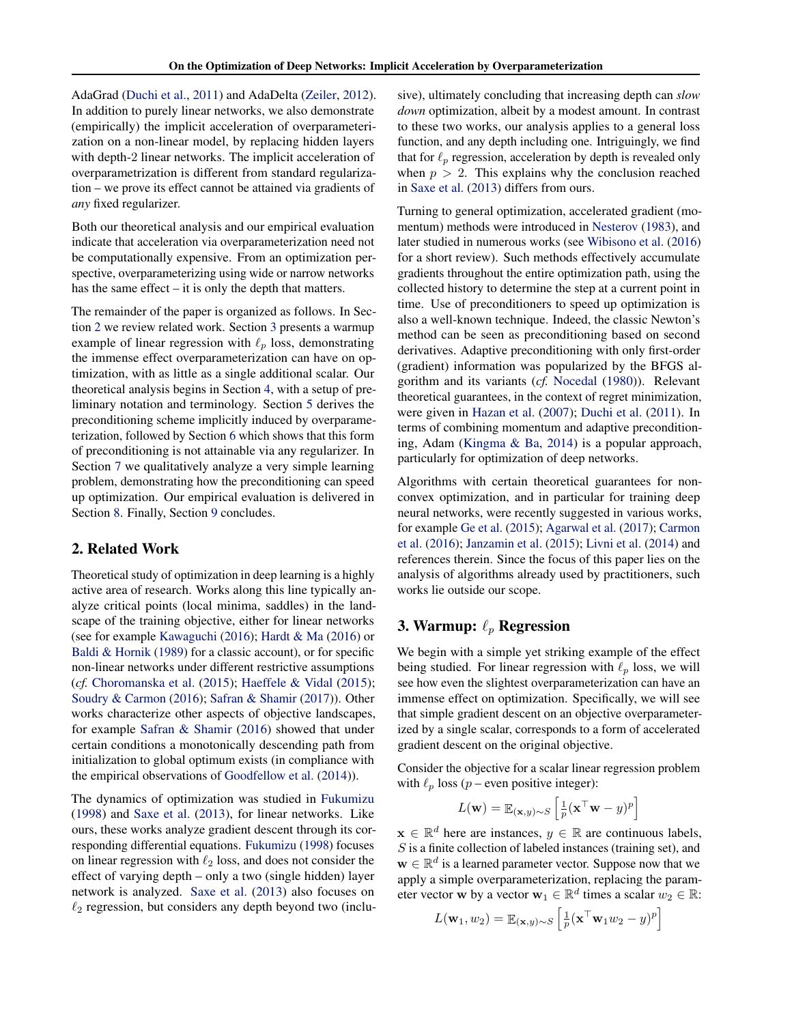AdaGrad [\(Duchi et al.,](#page-9-0) [2011\)](#page-9-0) and AdaDelta [\(Zeiler,](#page-9-0) [2012\)](#page-9-0). In addition to purely linear networks, we also demonstrate (empirically) the implicit acceleration of overparameterization on a non-linear model, by replacing hidden layers with depth-2 linear networks. The implicit acceleration of overparametrization is different from standard regularization – we prove its effect cannot be attained via gradients of *any* fixed regularizer.

Both our theoretical analysis and our empirical evaluation indicate that acceleration via overparameterization need not be computationally expensive. From an optimization perspective, overparameterizing using wide or narrow networks has the same effect – it is only the depth that matters.

The remainder of the paper is organized as follows. In Section 2 we review related work. Section 3 presents a warmup example of linear regression with  $\ell_p$  loss, demonstrating the immense effect overparameterization can have on optimization, with as little as a single additional scalar. Our theoretical analysis begins in Section [4,](#page-2-0) with a setup of preliminary notation and terminology. Section [5](#page-2-0) derives the preconditioning scheme implicitly induced by overparameterization, followed by Section [6](#page-5-0) which shows that this form of preconditioning is not attainable via any regularizer. In Section [7](#page-5-0) we qualitatively analyze a very simple learning problem, demonstrating how the preconditioning can speed up optimization. Our empirical evaluation is delivered in Section [8.](#page-6-0) Finally, Section [9](#page-8-0) concludes.

#### 2. Related Work

Theoretical study of optimization in deep learning is a highly active area of research. Works along this line typically analyze critical points (local minima, saddles) in the landscape of the training objective, either for linear networks (see for example [Kawaguchi](#page-9-0) [\(2016\)](#page-9-0); [Hardt & Ma](#page-9-0) [\(2016\)](#page-9-0) or [Baldi & Hornik](#page-8-0) [\(1989\)](#page-8-0) for a classic account), or for specific non-linear networks under different restrictive assumptions (*cf.* [Choromanska et al.](#page-8-0) [\(2015\)](#page-8-0); [Haeffele & Vidal](#page-9-0) [\(2015\)](#page-9-0); [Soudry & Carmon](#page-9-0) [\(2016\)](#page-9-0); [Safran & Shamir](#page-9-0) [\(2017\)](#page-9-0)). Other works characterize other aspects of objective landscapes, for example [Safran & Shamir](#page-9-0) [\(2016\)](#page-9-0) showed that under certain conditions a monotonically descending path from initialization to global optimum exists (in compliance with the empirical observations of [Goodfellow et al.](#page-9-0) [\(2014\)](#page-9-0)).

The dynamics of optimization was studied in [Fukumizu](#page-9-0) [\(1998\)](#page-9-0) and [Saxe et al.](#page-9-0) [\(2013\)](#page-9-0), for linear networks. Like ours, these works analyze gradient descent through its corresponding differential equations. [Fukumizu](#page-9-0) [\(1998\)](#page-9-0) focuses on linear regression with  $\ell_2$  loss, and does not consider the effect of varying depth – only a two (single hidden) layer network is analyzed. [Saxe et al.](#page-9-0) [\(2013\)](#page-9-0) also focuses on  $\ell_2$  regression, but considers any depth beyond two (inclusive), ultimately concluding that increasing depth can *slow down* optimization, albeit by a modest amount. In contrast to these two works, our analysis applies to a general loss function, and any depth including one. Intriguingly, we find that for  $\ell_p$  regression, acceleration by depth is revealed only when  $p > 2$ . This explains why the conclusion reached in [Saxe et al.](#page-9-0) [\(2013\)](#page-9-0) differs from ours.

Turning to general optimization, accelerated gradient (momentum) methods were introduced in [Nesterov](#page-9-0) [\(1983\)](#page-9-0), and later studied in numerous works (see [Wibisono et al.](#page-9-0) [\(2016\)](#page-9-0) for a short review). Such methods effectively accumulate gradients throughout the entire optimization path, using the collected history to determine the step at a current point in time. Use of preconditioners to speed up optimization is also a well-known technique. Indeed, the classic Newton's method can be seen as preconditioning based on second derivatives. Adaptive preconditioning with only first-order (gradient) information was popularized by the BFGS algorithm and its variants (*cf.* [Nocedal](#page-9-0) [\(1980\)](#page-9-0)). Relevant theoretical guarantees, in the context of regret minimization, were given in [Hazan et al.](#page-9-0) [\(2007\)](#page-9-0); [Duchi et al.](#page-9-0) [\(2011\)](#page-9-0). In terms of combining momentum and adaptive preconditioning, Adam [\(Kingma & Ba,](#page-9-0) [2014\)](#page-9-0) is a popular approach, particularly for optimization of deep networks.

Algorithms with certain theoretical guarantees for nonconvex optimization, and in particular for training deep neural networks, were recently suggested in various works, for example [Ge et al.](#page-9-0) [\(2015\)](#page-9-0); [Agarwal et al.](#page-8-0) [\(2017\)](#page-8-0); [Carmon](#page-8-0) [et al.](#page-8-0) [\(2016\)](#page-8-0); [Janzamin et al.](#page-9-0) [\(2015\)](#page-9-0); [Livni et al.](#page-9-0) [\(2014\)](#page-9-0) and references therein. Since the focus of this paper lies on the analysis of algorithms already used by practitioners, such works lie outside our scope.

## 3. Warmup:  $\ell_p$  Regression

We begin with a simple yet striking example of the effect being studied. For linear regression with  $\ell_p$  loss, we will see how even the slightest overparameterization can have an immense effect on optimization. Specifically, we will see that simple gradient descent on an objective overparameterized by a single scalar, corresponds to a form of accelerated gradient descent on the original objective.

Consider the objective for a scalar linear regression problem with  $\ell_p$  loss (p – even positive integer):

$$
L(\mathbf{w}) = \mathbb{E}_{(\mathbf{x},y)\sim S} \left[ \frac{1}{p} (\mathbf{x}^\top \mathbf{w} - y)^p \right]
$$

 $\mathbf{x} \in \mathbb{R}^d$  here are instances,  $y \in \mathbb{R}$  are continuous labels, S is a finite collection of labeled instances (training set), and  $\mathbf{w} \in \mathbb{R}^d$  is a learned parameter vector. Suppose now that we apply a simple overparameterization, replacing the parameter vector **w** by a vector  $\mathbf{w}_1 \in \mathbb{R}^d$  times a scalar  $w_2 \in \mathbb{R}$ :

$$
L(\mathbf{w}_1, w_2) = \mathbb{E}_{(\mathbf{x}, y) \sim S} \left[ \frac{1}{p} (\mathbf{x}^\top \mathbf{w}_1 w_2 - y)^p \right]
$$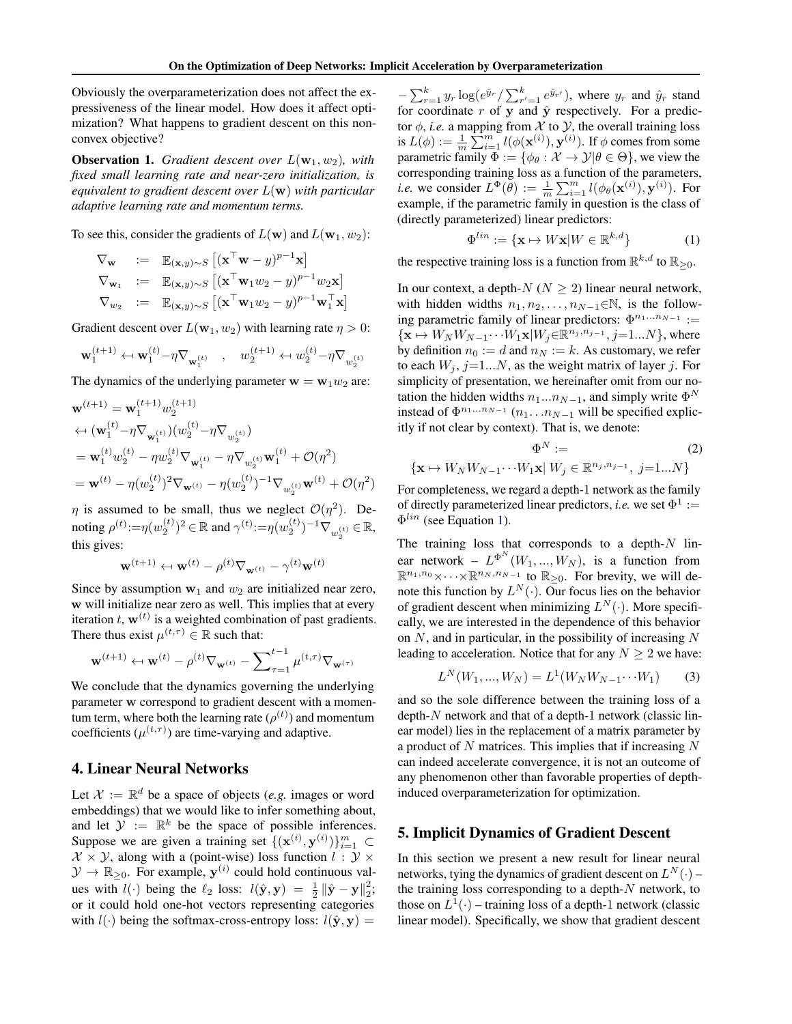<span id="page-2-0"></span>Obviously the overparameterization does not affect the expressiveness of the linear model. How does it affect optimization? What happens to gradient descent on this nonconvex objective?

**Observation 1.** *Gradient descent over*  $L(\mathbf{w}_1, w_2)$ *, with fixed small learning rate and near-zero initialization, is equivalent to gradient descent over* L(w) *with particular adaptive learning rate and momentum terms.*

To see this, consider the gradients of  $L(\mathbf{w})$  and  $L(\mathbf{w}_1, w_2)$ :

$$
\nabla_{\mathbf{w}} := \mathbb{E}_{(\mathbf{x}, y) \sim S} [(\mathbf{x}^{\top} \mathbf{w} - y)^{p-1} \mathbf{x}]
$$
  
\n
$$
\nabla_{\mathbf{w}_1} := \mathbb{E}_{(\mathbf{x}, y) \sim S} [(\mathbf{x}^{\top} \mathbf{w}_1 w_2 - y)^{p-1} w_2 \mathbf{x}]
$$
  
\n
$$
\nabla_{w_2} := \mathbb{E}_{(\mathbf{x}, y) \sim S} [(\mathbf{x}^{\top} \mathbf{w}_1 w_2 - y)^{p-1} \mathbf{w}_1^{\top} \mathbf{x}]
$$

Gradient descent over  $L(\mathbf{w}_1, w_2)$  with learning rate  $\eta > 0$ :

$$
\mathbf{w}_1^{(t+1)} \leftarrow \mathbf{w}_1^{(t)} - \eta \nabla_{\mathbf{w}_1^{(t)}} \quad , \quad w_2^{(t+1)} \leftarrow w_2^{(t)} - \eta \nabla_{w_2^{(t)}}
$$

The dynamics of the underlying parameter  $w = w_1w_2$  are:

$$
\mathbf{w}^{(t+1)} = \mathbf{w}_1^{(t+1)} w_2^{(t+1)} \n\leftarrow (\mathbf{w}_1^{(t)} - \eta \nabla_{\mathbf{w}_1^{(t)}})(w_2^{(t)} - \eta \nabla_{w_2^{(t)}}) \n= \mathbf{w}_1^{(t)} w_2^{(t)} - \eta w_2^{(t)} \nabla_{\mathbf{w}_1^{(t)}} - \eta \nabla_{w_2^{(t)}} \mathbf{w}_1^{(t)} + \mathcal{O}(\eta^2) \n= \mathbf{w}^{(t)} - \eta (w_2^{(t)})^2 \nabla_{\mathbf{w}^{(t)}} - \eta (w_2^{(t)})^{-1} \nabla_{w_2^{(t)}} \mathbf{w}^{(t)} + \mathcal{O}(\eta^2)
$$

 $\eta$  is assumed to be small, thus we neglect  $\mathcal{O}(\eta^2)$ . Denoting  $\rho^{(t)} \! := \! \eta(w_2^{(t)})^2 \! \in \! \mathbb{R}$  and  $\gamma^{(t)} \! := \! \eta(w_2^{(t)})^{-1} \nabla_{w_2^{(t)}} \! \in \! \mathbb{R},$ 2 this gives:

$$
\mathbf{w}^{(t+1)} \leftarrow \mathbf{w}^{(t)} - \rho^{(t)} \nabla_{\mathbf{w}^{(t)}} - \gamma^{(t)} \mathbf{w}^{(t)}
$$

Since by assumption  $w_1$  and  $w_2$  are initialized near zero, w will initialize near zero as well. This implies that at every iteration t,  $\mathbf{w}^{(t)}$  is a weighted combination of past gradients. There thus exist  $\mu^{(t,\tau)} \in \mathbb{R}$  such that:

$$
\mathbf{w}^{(t+1)} \leftarrow \mathbf{w}^{(t)} - \rho^{(t)} \nabla_{\mathbf{w}^{(t)}} - \sum_{\tau=1}^{t-1} \mu^{(t,\tau)} \nabla_{\mathbf{w}^{(\tau)}}
$$

We conclude that the dynamics governing the underlying parameter w correspond to gradient descent with a momentum term, where both the learning rate  $(\rho^{(t)})$  and momentum coefficients  $(\mu^{(t,\tau)})$  are time-varying and adaptive.

## 4. Linear Neural Networks

Let  $\mathcal{X} := \mathbb{R}^d$  be a space of objects (*e.g.* images or word embeddings) that we would like to infer something about, and let  $\mathcal{Y} := \mathbb{R}^k$  be the space of possible inferences. Suppose we are given a training set  $\{(\mathbf{x}^{(i)}, \mathbf{y}^{(i)})\}_{i=1}^m$   $\subset$  $X \times Y$ , along with a (point-wise) loss function  $l : Y \times Y$  $\mathcal{Y} \to \mathbb{R}_{\geq 0}$ . For example,  $\mathbf{y}^{(i)}$  could hold continuous values with  $l(\cdot)$  being the  $\ell_2$  loss:  $l(\hat{\mathbf{y}}, \mathbf{y}) = \frac{1}{2} ||\hat{\mathbf{y}} - \mathbf{y}||_2^2$ ; or it could hold one-hot vectors representing categories with  $l(\cdot)$  being the softmax-cross-entropy loss:  $l(\hat{y}, y) =$ 

 $-\sum_{r=1}^k y_r \log(e^{\hat{y}_r}/\sum_{r'=1}^k e^{\hat{y}_{r'}})$ , where  $y_r$  and  $\hat{y}_r$  stand for coordinate  $r$  of  $y$  and  $\hat{y}$  respectively. For a predictor  $\phi$ , *i.e.* a mapping from  $\mathcal X$  to  $\mathcal Y$ , the overall training loss is  $L(\phi) := \frac{1}{m} \sum_{i=1}^{m} l(\phi(\mathbf{x}^{(i)}), \mathbf{y}^{(i)})$ . If  $\phi$  comes from some parametric family  $\Phi := {\phi_{\theta} : \mathcal{X} \rightarrow \mathcal{Y} | \theta \in \Theta}$ , we view the corresponding training loss as a function of the parameters, *i.e.* we consider  $L^{\Phi}(\theta) := \frac{1}{m} \sum_{i=1}^{m} l(\phi_{\theta}(\mathbf{x}^{(i)}), \mathbf{y}^{(i)})$ . For example, if the parametric family in question is the class of (directly parameterized) linear predictors:

$$
\Phi^{lin} := \{ \mathbf{x} \mapsto W\mathbf{x} | W \in \mathbb{R}^{k,d} \}
$$
 (1)

the respective training loss is a function from  $\mathbb{R}^{k,d}$  to  $\mathbb{R}_{\geq 0}$ .

In our context, a depth- $N$  ( $N \ge 2$ ) linear neural network, with hidden widths  $n_1, n_2, \ldots, n_{N-1} \in \mathbb{N}$ , is the following parametric family of linear predictors:  $\Phi^{n_1...n_{N-1}}$  :=  $\{ \mathbf{x} \mapsto W_N W_{N-1} \cdots W_1 \mathbf{x} | W_j \in \mathbb{R}^{n_j, n_{j-1}}, j=1...N \},\$  where by definition  $n_0 := d$  and  $n_N := k$ . As customary, we refer to each  $W_j$ ,  $j=1...N$ , as the weight matrix of layer j. For simplicity of presentation, we hereinafter omit from our notation the hidden widths  $n_1...n_{N-1}$ , and simply write  $\Phi^N$ instead of  $\Phi^{n_1...n_{N-1}}$   $(n_1...n_{N-1}$  will be specified explicitly if not clear by context). That is, we denote:

$$
\Phi^N := \qquad (2)
$$
  

$$
\{\mathbf{x} \mapsto W_N W_{N-1} \cdots W_1 \mathbf{x} | W_j \in \mathbb{R}^{n_j, n_{j-1}}, j = 1...N\}
$$

For completeness, we regard a depth-1 network as the family of directly parameterized linear predictors, *i.e.* we set  $\Phi^1$  :=  $\Phi^{lin}$  (see Equation 1).

The training loss that corresponds to a depth- $N$  linear network –  $L^{\Phi^N}(W_1, ..., W_N)$ , is a function from  $\mathbb{R}^{n_1,n_0} \times \cdots \times \mathbb{R}^{n_N,n_{N-1}}$  to  $\mathbb{R}_{\geq 0}$ . For brevity, we will denote this function by  $L^N(\cdot)$ . Our focus lies on the behavior of gradient descent when minimizing  $L^N(\cdot)$ . More specifically, we are interested in the dependence of this behavior on  $N$ , and in particular, in the possibility of increasing  $N$ leading to acceleration. Notice that for any  $N \geq 2$  we have:

$$
L^{N}(W_{1},...,W_{N}) = L^{1}(W_{N}W_{N-1}\cdots W_{1})
$$
 (3)

and so the sole difference between the training loss of a  $depth-N$  network and that of a depth-1 network (classic linear model) lies in the replacement of a matrix parameter by a product of  $N$  matrices. This implies that if increasing  $N$ can indeed accelerate convergence, it is not an outcome of any phenomenon other than favorable properties of depthinduced overparameterization for optimization.

#### 5. Implicit Dynamics of Gradient Descent

In this section we present a new result for linear neural networks, tying the dynamics of gradient descent on  $L^N(\cdot)$  – the training loss corresponding to a depth-N network, to those on  $L^1(\cdot)$  – training loss of a depth-1 network (classic linear model). Specifically, we show that gradient descent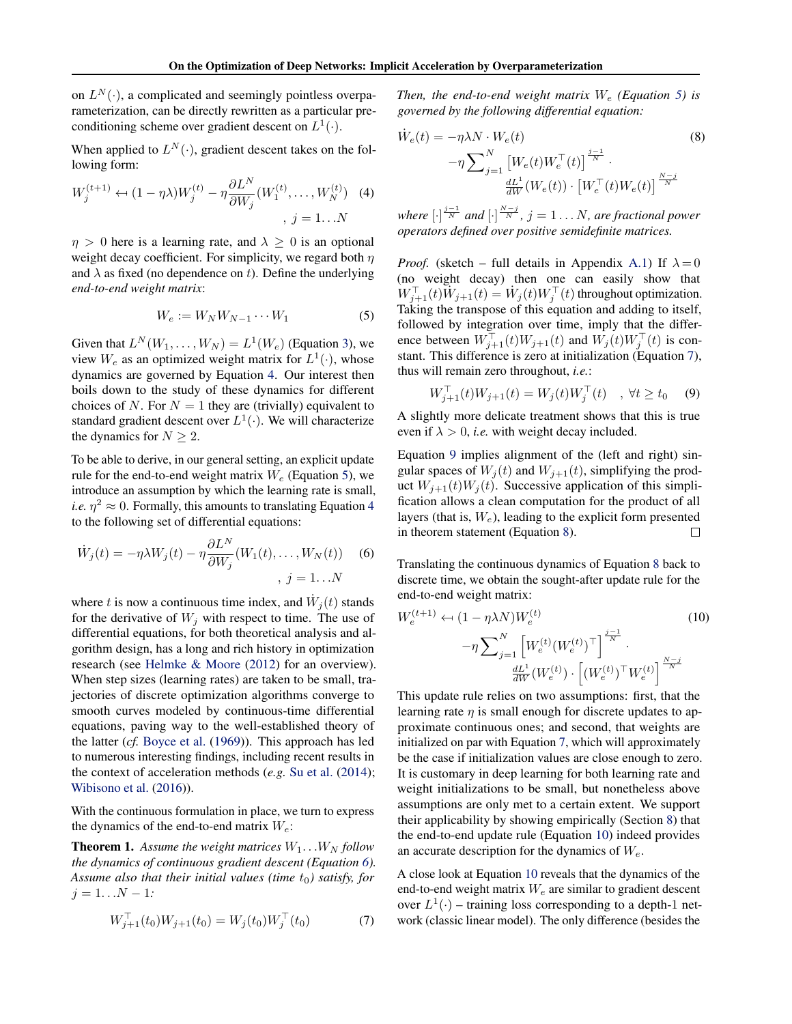<span id="page-3-0"></span>on  $L^N(\cdot)$ , a complicated and seemingly pointless overparameterization, can be directly rewritten as a particular preconditioning scheme over gradient descent on  $L^1(\cdot)$ .

When applied to  $L^N(\cdot)$ , gradient descent takes on the following form:

$$
W_j^{(t+1)} \leftarrow (1 - \eta \lambda) W_j^{(t)} - \eta \frac{\partial L^N}{\partial W_j} (W_1^{(t)}, \dots, W_N^{(t)}) \quad (4)
$$
  
,  $j = 1...N$ 

 $\eta > 0$  here is a learning rate, and  $\lambda \geq 0$  is an optional weight decay coefficient. For simplicity, we regard both  $\eta$ and  $\lambda$  as fixed (no dependence on t). Define the underlying *end-to-end weight matrix*:

$$
W_e := W_N W_{N-1} \cdots W_1 \tag{5}
$$

Given that  $L^N(W_1, \ldots, W_N) = L^1(W_e)$  (Equation [3\)](#page-2-0), we view  $W_e$  as an optimized weight matrix for  $L^1(\cdot)$ , whose dynamics are governed by Equation 4. Our interest then boils down to the study of these dynamics for different choices of N. For  $N = 1$  they are (trivially) equivalent to standard gradient descent over  $L^1(\cdot)$ . We will characterize the dynamics for  $N \geq 2$ .

To be able to derive, in our general setting, an explicit update rule for the end-to-end weight matrix  $W_e$  (Equation 5), we introduce an assumption by which the learning rate is small, *i.e.*  $\eta^2 \approx 0$ . Formally, this amounts to translating Equation 4 to the following set of differential equations:

$$
\dot{W}_j(t) = -\eta \lambda W_j(t) - \eta \frac{\partial L^N}{\partial W_j}(W_1(t), \dots, W_N(t)) \quad (6)
$$
\n
$$
j = 1 \dots N
$$

where t is now a continuous time index, and  $\dot{W}_j(t)$  stands for the derivative of  $W_i$  with respect to time. The use of differential equations, for both theoretical analysis and algorithm design, has a long and rich history in optimization research (see [Helmke & Moore](#page-9-0) [\(2012\)](#page-9-0) for an overview). When step sizes (learning rates) are taken to be small, trajectories of discrete optimization algorithms converge to smooth curves modeled by continuous-time differential equations, paving way to the well-established theory of the latter (*cf.* [Boyce et al.](#page-8-0) [\(1969\)](#page-8-0)). This approach has led to numerous interesting findings, including recent results in the context of acceleration methods (*e.g.* [Su et al.](#page-9-0) [\(2014\)](#page-9-0); [Wibisono et al.](#page-9-0) [\(2016\)](#page-9-0)).

With the continuous formulation in place, we turn to express the dynamics of the end-to-end matrix  $W_e$ :

**Theorem 1.** Assume the weight matrices  $W_1 \ldots W_N$  follow *the dynamics of continuous gradient descent (Equation 6). Assume also that their initial values (time t<sub>0</sub>) satisfy, for*  $j = 1...N - 1:$ 

$$
W_{j+1}^{\top}(t_0)W_{j+1}(t_0) = W_j(t_0)W_j^{\top}(t_0)
$$
\n(7)

*Then, the end-to-end weight matrix*  $W_e$  *(Equation 5) is governed by the following differential equation:*

$$
\dot{W}_e(t) = -\eta \lambda N \cdot W_e(t) \tag{8}
$$
\n
$$
-\eta \sum_{j=1}^N \left[ W_e(t) W_e^{\top}(t) \right]^{\frac{j-1}{N}} \cdot \frac{dL^1}{dW}(W_e(t)) \cdot \left[ W_e^{\top}(t) W_e(t) \right]^{\frac{N-j}{N}}
$$

where  $[\cdot]^{\frac{j-1}{N}}$  and  $[\cdot]^{\frac{N-j}{N}}$ ,  $j = 1 \dots N$ , are fractional power *operators defined over positive semidefinite matrices.*

*Proof.* (sketch – full details in Appendix [A.1\)](#page-10-0) If  $\lambda = 0$ (no weight decay) then one can easily show that  $W_{j+1}^{\top}(t)W_{j+1}(t) = W_j(t)W_j^{\top}(t)$  throughout optimization. Taking the transpose of this equation and adding to itself, followed by integration over time, imply that the difference between  $W_{j+1}^{\top}(t)W_{j+1}(t)$  and  $W_j(t)W_j^{\top}(t)$  is constant. This difference is zero at initialization (Equation 7), thus will remain zero throughout, *i.e.*:

$$
W_{j+1}^{\top}(t)W_{j+1}(t) = W_j(t)W_j^{\top}(t) \quad , \forall t \ge t_0 \quad (9)
$$

A slightly more delicate treatment shows that this is true even if  $\lambda > 0$ , *i.e.* with weight decay included.

Equation 9 implies alignment of the (left and right) singular spaces of  $W_j(t)$  and  $W_{j+1}(t)$ , simplifying the product  $W_{i+1}(t)W_i(t)$ . Successive application of this simplification allows a clean computation for the product of all layers (that is,  $W_e$ ), leading to the explicit form presented in theorem statement (Equation 8). П

Translating the continuous dynamics of Equation 8 back to discrete time, we obtain the sought-after update rule for the end-to-end weight matrix:

$$
W_e^{(t+1)} \leftarrow (1 - \eta \lambda N) W_e^{(t)}
$$
\n
$$
- \eta \sum_{j=1}^N \left[ W_e^{(t)} (W_e^{(t)})^\top \right]^{\frac{j-1}{N}}.
$$
\n
$$
\frac{dL^1}{dW} (W_e^{(t)}) \cdot \left[ (W_e^{(t)})^\top W_e^{(t)} \right]^{\frac{N-j}{N}}
$$
\n(10)

This update rule relies on two assumptions: first, that the learning rate  $\eta$  is small enough for discrete updates to approximate continuous ones; and second, that weights are initialized on par with Equation 7, which will approximately be the case if initialization values are close enough to zero. It is customary in deep learning for both learning rate and weight initializations to be small, but nonetheless above assumptions are only met to a certain extent. We support their applicability by showing empirically (Section [8\)](#page-6-0) that the end-to-end update rule (Equation 10) indeed provides an accurate description for the dynamics of  $W_e$ .

A close look at Equation 10 reveals that the dynamics of the end-to-end weight matrix  $W_e$  are similar to gradient descent over  $L^1(\cdot)$  – training loss corresponding to a depth-1 network (classic linear model). The only difference (besides the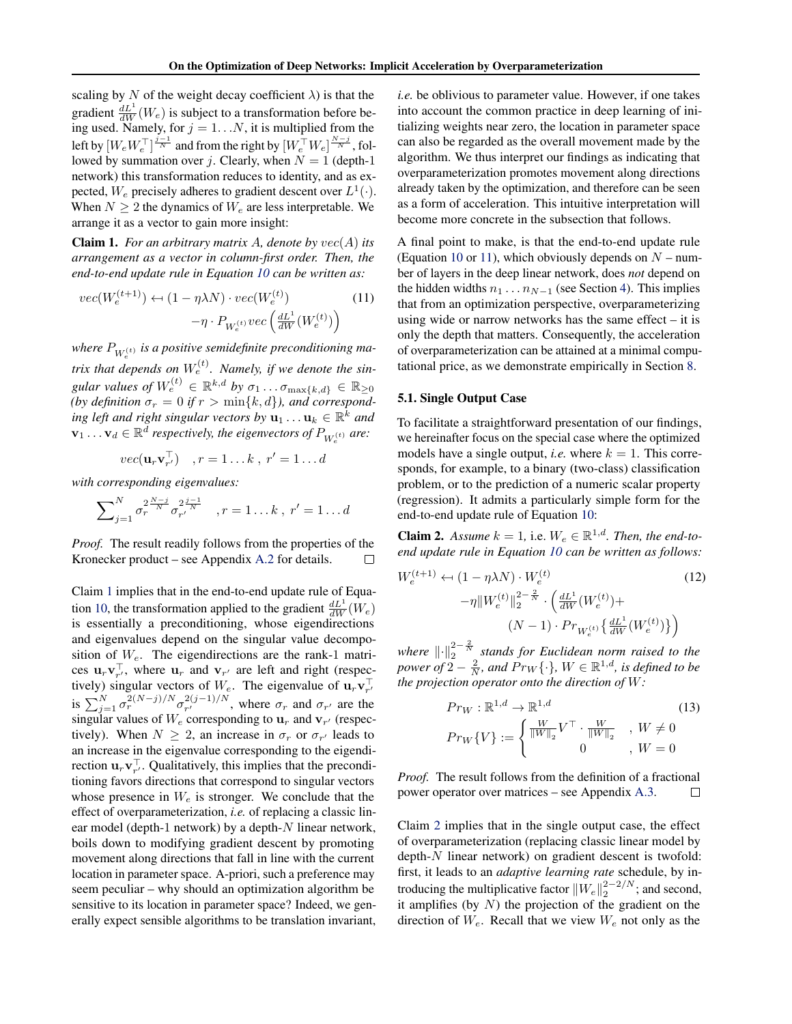<span id="page-4-0"></span>scaling by N of the weight decay coefficient  $\lambda$ ) is that the gradient  $\frac{dL^1}{dW}(W_e)$  is subject to a transformation before being used. Namely, for  $j = 1...N$ , it is multiplied from the left by  $[W_e W_e^\top]^{\frac{j-1}{N}}$  and from the right by  $[W_e^\top W_e]^{\frac{N-j}{N}}$ , followed by summation over j. Clearly, when  $N = 1$  (depth-1) network) this transformation reduces to identity, and as expected,  $W_e$  precisely adheres to gradient descent over  $L^1(\cdot)$ . When  $N \geq 2$  the dynamics of  $W_e$  are less interpretable. We arrange it as a vector to gain more insight:

Claim 1. *For an arbitrary matrix* A*, denote by* vec(A) *its arrangement as a vector in column-first order. Then, the end-to-end update rule in Equation [10](#page-3-0) can be written as:*

$$
vec(W_e^{(t+1)}) \leftarrow (1 - \eta \lambda N) \cdot vec(W_e^{(t)}) \qquad (11)
$$

$$
-\eta \cdot P_{W_e^{(t)}} vec\left(\frac{dL^1}{dW}(W_e^{(t)})\right)
$$

where  $P_{W_e^{(t)}}$  is a positive semidefinite preconditioning ma- $\begin{array}{c}\n w_e \rightarrow e^{-\lambda t} \\
\text{trix that depends on } W_e^{(t)}\n \end{array}$ *Namely, if we denote the sin*gular values of  $W_e^{(t)} \in \mathbb{R}^{k,d}$  by  $\sigma_1 \ldots \sigma_{\max\{k,d\}} \in \mathbb{R}_{\geq 0}$ (by definition  $\sigma_r = 0$  if  $r > \min\{k, d\}$ ), and correspond- $\hat{p}$  *ing left and right singular vectors by*  $\mathbf{u}_1 \dots \mathbf{u}_k \in \mathbb{R}^k$  and  $\mathbf{v}_1 \ldots \mathbf{v}_d \in \mathbb{R}^{\overline{d}}$  respectively, the eigenvectors of  $P_{W_e^{(t)}}$  are:

$$
vec(\mathbf{u}_r \mathbf{v}_{r'}^{\top}) \quad , r = 1 \dots k \, , \, r' = 1 \dots d
$$

*with corresponding eigenvalues:*

$$
\sum_{j=1}^{N} \sigma_r^{2\frac{N-j}{N}} \sigma_{r'}^{2\frac{j-1}{N}}, r = 1...k, r' = 1...d
$$

*Proof.* The result readily follows from the properties of the Kronecker product – see Appendix [A.2](#page-12-0) for details.

Claim 1 implies that in the end-to-end update rule of Equa-tion [10,](#page-3-0) the transformation applied to the gradient  $\frac{dL^1}{dW}(W_e)$ is essentially a preconditioning, whose eigendirections and eigenvalues depend on the singular value decomposition of  $W_e$ . The eigendirections are the rank-1 matrices  $\mathbf{u}_r \mathbf{v}_{r'}^{\top}$ , where  $\mathbf{u}_r$  and  $\mathbf{v}_{r'}$  are left and right (respectively) singular vectors of  $W_e$ . The eigenvalue of  $\mathbf{u}_r \mathbf{v}_{r'}^{\top}$ <br>is  $\sum_{j=1}^{N} \sigma_r^{2(N-j)/N} \sigma_{r'}^{2(j-1)/N}$ , where  $\sigma_r$  and  $\sigma_{r'}$  are the  $\frac{\sigma_{r}}{r'}$ , where  $\sigma_{r}$  and  $\sigma_{r'}$  are the singular values of  $W_e$  corresponding to  $\mathbf{u}_r$  and  $\mathbf{v}_{r'}$  (respectively). When  $N \geq 2$ , an increase in  $\sigma_r$  or  $\sigma_{r'}$  leads to an increase in the eigenvalue corresponding to the eigendirection  $\mathbf{u}_r \mathbf{v}_{r'}^{\top}$ . Qualitatively, this implies that the preconditioning favors directions that correspond to singular vectors whose presence in  $W_e$  is stronger. We conclude that the effect of overparameterization, *i.e.* of replacing a classic linear model (depth-1 network) by a depth- $N$  linear network, boils down to modifying gradient descent by promoting movement along directions that fall in line with the current location in parameter space. A-priori, such a preference may seem peculiar – why should an optimization algorithm be sensitive to its location in parameter space? Indeed, we generally expect sensible algorithms to be translation invariant, *i.e.* be oblivious to parameter value. However, if one takes into account the common practice in deep learning of initializing weights near zero, the location in parameter space can also be regarded as the overall movement made by the algorithm. We thus interpret our findings as indicating that overparameterization promotes movement along directions already taken by the optimization, and therefore can be seen as a form of acceleration. This intuitive interpretation will become more concrete in the subsection that follows.

A final point to make, is that the end-to-end update rule (Equation [10](#page-3-0) or 11), which obviously depends on  $N$  – number of layers in the deep linear network, does *not* depend on the hidden widths  $n_1 \dots n_{N-1}$  (see Section [4\)](#page-2-0). This implies that from an optimization perspective, overparameterizing using wide or narrow networks has the same effect – it is only the depth that matters. Consequently, the acceleration of overparameterization can be attained at a minimal computational price, as we demonstrate empirically in Section [8.](#page-6-0)

#### 5.1. Single Output Case

To facilitate a straightforward presentation of our findings, we hereinafter focus on the special case where the optimized models have a single output, *i.e.* where  $k = 1$ . This corresponds, for example, to a binary (two-class) classification problem, or to the prediction of a numeric scalar property (regression). It admits a particularly simple form for the end-to-end update rule of Equation [10:](#page-3-0)

**Claim 2.** Assume  $k = 1$ , i.e.  $W_e \in \mathbb{R}^{1,d}$ . Then, the end-to*end update rule in Equation [10](#page-3-0) can be written as follows:*

$$
W_e^{(t+1)} \leftarrow (1 - \eta \lambda N) \cdot W_e^{(t)}
$$
  
-
$$
\eta \|W_e^{(t)}\|_2^{2 - \frac{2}{N}} \cdot \left(\frac{dL^1}{dW}(W_e^{(t)}) + (N - 1) \cdot Pr_{W_e^{(t)}}\left\{\frac{dL^1}{dW}(W_e^{(t)})\right\}\right)
$$
 (12)

*where*  $\lVert \cdot \rVert_2^{2-\frac{2}{N}}$  stands for Euclidean norm raised to the *power of*  $2 - \frac{2}{N}$ *, and*  $Pr_W\{\cdot\}$ *, W*  $\in \mathbb{R}^{1,d}$ *, is defined to be the projection operator onto the direction of* W*:*

$$
Pr_{W} : \mathbb{R}^{1,d} \to \mathbb{R}^{1,d}
$$
\n
$$
Pr_{W}\{V\} := \begin{cases} \frac{W}{\|W\|_{2}} V^{\top} \cdot \frac{W}{\|W\|_{2}} & , W \neq 0\\ 0 & , W = 0 \end{cases}
$$
\n(13)

*Proof.* The result follows from the definition of a fractional power operator over matrices – see Appendix [A.3.](#page-13-0)  $\Box$ 

Claim 2 implies that in the single output case, the effect of overparameterization (replacing classic linear model by depth-N linear network) on gradient descent is twofold: first, it leads to an *adaptive learning rate* schedule, by introducing the multiplicative factor  $||W_e||_2^{2-2/N}$ ; and second, it amplifies (by  $N$ ) the projection of the gradient on the direction of  $W_e$ . Recall that we view  $W_e$  not only as the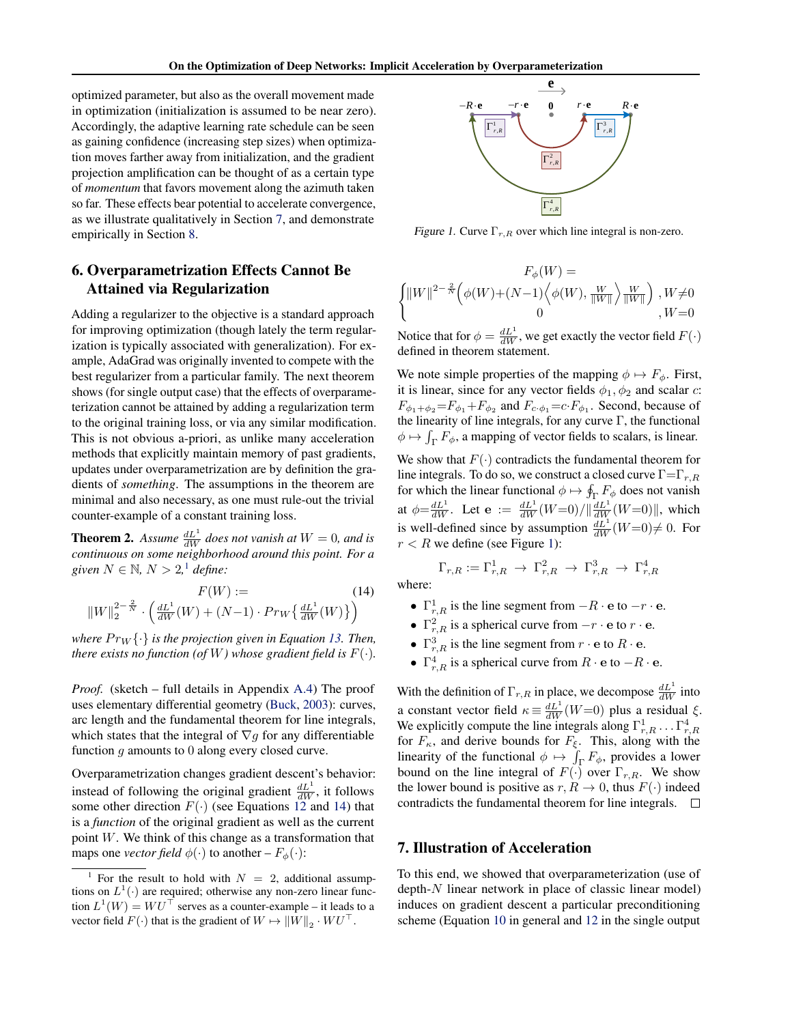<span id="page-5-0"></span>optimized parameter, but also as the overall movement made in optimization (initialization is assumed to be near zero). Accordingly, the adaptive learning rate schedule can be seen as gaining confidence (increasing step sizes) when optimization moves farther away from initialization, and the gradient projection amplification can be thought of as a certain type of *momentum* that favors movement along the azimuth taken so far. These effects bear potential to accelerate convergence, as we illustrate qualitatively in Section 7, and demonstrate empirically in Section [8.](#page-6-0)

# 6. Overparametrization Effects Cannot Be Attained via Regularization

Adding a regularizer to the objective is a standard approach for improving optimization (though lately the term regularization is typically associated with generalization). For example, AdaGrad was originally invented to compete with the best regularizer from a particular family. The next theorem shows (for single output case) that the effects of overparameterization cannot be attained by adding a regularization term to the original training loss, or via any similar modification. This is not obvious a-priori, as unlike many acceleration methods that explicitly maintain memory of past gradients, updates under overparametrization are by definition the gradients of *something*. The assumptions in the theorem are minimal and also necessary, as one must rule-out the trivial counter-example of a constant training loss.

**Theorem 2.** Assume  $\frac{dL^1}{dW}$  does not vanish at  $W = 0$ , and is *continuous on some neighborhood around this point. For a given*  $N \in \mathbb{N}$ ,  $N > 2$ , <sup>1</sup> *define:* 

$$
F(W) := \t(14)
$$
  

$$
||W||_2^{2-\frac{2}{N}} \cdot \left(\frac{dL^1}{dW}(W) + (N-1) \cdot Pr_W\left\{\frac{dL^1}{dW}(W)\right\}\right)
$$

*where*  $Pr_W\{\cdot\}$  *is the projection given in Equation [13.](#page-4-0) Then, there exists no function (of W) whose gradient field is*  $F(\cdot)$ *.* 

*Proof.* (sketch – full details in Appendix [A.4\)](#page-13-0) The proof uses elementary differential geometry [\(Buck,](#page-8-0) [2003\)](#page-8-0): curves, arc length and the fundamental theorem for line integrals, which states that the integral of  $\nabla g$  for any differentiable function g amounts to 0 along every closed curve.

Overparametrization changes gradient descent's behavior: instead of following the original gradient  $\frac{dL^1}{dW}$ , it follows some other direction  $F(\cdot)$  (see Equations [12](#page-4-0) and 14) that is a *function* of the original gradient as well as the current point  $W$ . We think of this change as a transformation that maps one *vector field*  $\phi(\cdot)$  to another –  $F_{\phi}(\cdot)$ :



Figure 1. Curve  $\Gamma_{r,R}$  over which line integral is non-zero.

$$
F_{\phi}(W) =
$$
  

$$
\begin{cases} ||W||^{2-\frac{2}{N}} \Big( \phi(W) + (N-1) \Big\langle \phi(W), \frac{W}{||W||} \Big\rangle \frac{W}{||W||} \Big) , W \neq 0 \\ 0 , W = 0 \end{cases}
$$

Notice that for  $\phi = \frac{dL^1}{dW}$ , we get exactly the vector field  $F(\cdot)$ defined in theorem statement.

We note simple properties of the mapping  $\phi \mapsto F_{\phi}$ . First, it is linear, since for any vector fields  $\phi_1, \phi_2$  and scalar c:  $F_{\phi_1+\phi_2} = F_{\phi_1} + F_{\phi_2}$  and  $F_{c \cdot \phi_1} = c \cdot F_{\phi_1}$ . Second, because of the linearity of line integrals, for any curve  $\Gamma$ , the functional  $\phi \mapsto \int_{\Gamma} F_{\phi}$ , a mapping of vector fields to scalars, is linear.

We show that  $F(\cdot)$  contradicts the fundamental theorem for line integrals. To do so, we construct a closed curve  $\Gamma = \Gamma_{r,R}$ for which the linear functional  $\phi \mapsto \oint_{\Gamma} F_{\phi}$  does not vanish at  $\phi = \frac{dL^1}{dW}$ . Let  $e := \frac{dL^1}{dW}(W=0)/||\frac{dL^1}{dW}(W=0)||$ , which is well-defined since by assumption  $\frac{dL^1}{dW}(W=0) \neq 0$ . For  $r < R$  we define (see Figure 1):

$$
\Gamma_{r,R} := \Gamma_{r,R}^1 \rightarrow \Gamma_{r,R}^2 \rightarrow \Gamma_{r,R}^3 \rightarrow \Gamma_{r,R}^4
$$

where:

- $\Gamma^1_{r,R}$  is the line segment from  $-R \cdot e$  to  $-r \cdot e$ .
- $\Gamma_{r,R}^2$  is a spherical curve from  $-r \cdot e$  to  $r \cdot e$ .
- $\Gamma^3_{r,R}$  is the line segment from  $r \cdot e$  to  $R \cdot e$ .
- $\Gamma^4_{r,R}$  is a spherical curve from  $R \cdot e$  to  $-R \cdot e$ .

With the definition of  $\Gamma_{r,R}$  in place, we decompose  $\frac{dL^1}{dW}$  into a constant vector field  $\kappa \equiv \frac{dL^1}{dW}(W=0)$  plus a residual  $\xi$ . We explicitly compute the line integrals along  $\Gamma^1_{r,R} \ldots \Gamma^4_{r,R}$ for  $F_{\kappa}$ , and derive bounds for  $F_{\xi}$ . This, along with the linearity of the functional  $\phi \mapsto \int_{\Gamma} F_{\phi}$ , provides a lower bound on the line integral of  $F(\cdot)$  over  $\Gamma_{r,R}$ . We show the lower bound is positive as  $r, R \to 0$ , thus  $F(\cdot)$  indeed contradicts the fundamental theorem for line integrals.  $\Box$ 

## 7. Illustration of Acceleration

To this end, we showed that overparameterization (use of depth-N linear network in place of classic linear model) induces on gradient descent a particular preconditioning scheme (Equation [10](#page-3-0) in general and [12](#page-4-0) in the single output

<sup>&</sup>lt;sup>1</sup> For the result to hold with  $N = 2$ , additional assumptions on  $L^1(\cdot)$  are required; otherwise any non-zero linear function  $L^1(W) = W U^{\top}$  serves as a counter-example – it leads to a vector field  $F(\cdot)$  that is the gradient of  $W \mapsto ||W||_2 \cdot WU^{\top}$ .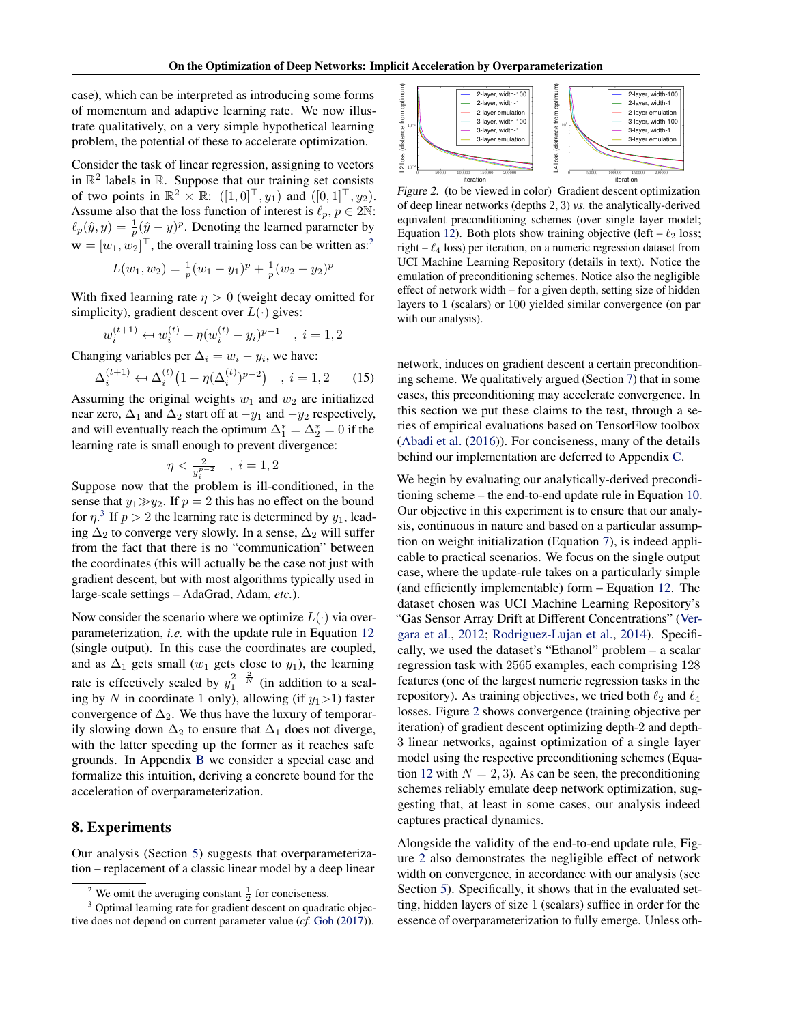<span id="page-6-0"></span>case), which can be interpreted as introducing some forms of momentum and adaptive learning rate. We now illustrate qualitatively, on a very simple hypothetical learning problem, the potential of these to accelerate optimization.

Consider the task of linear regression, assigning to vectors in  $\mathbb{R}^2$  labels in  $\mathbb{R}$ . Suppose that our training set consists of two points in  $\mathbb{R}^2 \times \mathbb{R}$ :  $([1, 0]^{\top}, y_1)$  and  $([0, 1]^{\top}, y_2)$ . Assume also that the loss function of interest is  $\ell_p, p \in 2\mathbb{N}$ :  $\ell_p(\hat{y}, y) = \frac{1}{p}(\hat{y} - y)^p$ . Denoting the learned parameter by  $\mathbf{w} = [w_1, w_2]^\top$ , the overall training loss can be written as:<sup>2</sup>

$$
L(w_1, w_2) = \frac{1}{p}(w_1 - y_1)^p + \frac{1}{p}(w_2 - y_2)^p
$$

With fixed learning rate  $\eta > 0$  (weight decay omitted for simplicity), gradient descent over  $L(\cdot)$  gives:

$$
v_i^{(t+1)} \leftarrow w_i^{(t)} - \eta (w_i^{(t)} - y_i)^{p-1} \quad , \ i = 1, 2
$$

Changing variables per  $\Delta_i = w_i - y_i$ , we have:

w

$$
\Delta_i^{(t+1)} \leftarrow \Delta_i^{(t)} \left(1 - \eta(\Delta_i^{(t)})^{p-2}\right) \quad , \ i = 1, 2 \tag{15}
$$

Assuming the original weights  $w_1$  and  $w_2$  are initialized near zero,  $\Delta_1$  and  $\Delta_2$  start off at  $-y_1$  and  $-y_2$  respectively, and will eventually reach the optimum  $\Delta_1^* = \Delta_2^* = 0$  if the learning rate is small enough to prevent divergence:

$$
\eta<\tfrac{2}{y_i^{p-2}}\quad,\ i=1,2
$$

Suppose now that the problem is ill-conditioned, in the sense that  $y_1 \gg y_2$ . If  $p = 2$  this has no effect on the bound for  $\eta$ <sup>3</sup>. If  $p > 2$  the learning rate is determined by  $y_1$ , leading  $\Delta_2$  to converge very slowly. In a sense,  $\Delta_2$  will suffer from the fact that there is no "communication" between the coordinates (this will actually be the case not just with gradient descent, but with most algorithms typically used in large-scale settings – AdaGrad, Adam, *etc.*).

Now consider the scenario where we optimize  $L(\cdot)$  via overparameterization, *i.e.* with the update rule in Equation [12](#page-4-0) (single output). In this case the coordinates are coupled, and as  $\Delta_1$  gets small (w<sub>1</sub> gets close to y<sub>1</sub>), the learning rate is effectively scaled by  $y_1^{2-\frac{2}{N}}$  (in addition to a scaling by N in coordinate 1 only), allowing (if  $y_1 > 1$ ) faster convergence of  $\Delta_2$ . We thus have the luxury of temporarily slowing down  $\Delta_2$  to ensure that  $\Delta_1$  does not diverge, with the latter speeding up the former as it reaches safe grounds. In Appendix [B](#page-16-0) we consider a special case and formalize this intuition, deriving a concrete bound for the acceleration of overparameterization.

## 8. Experiments

Our analysis (Section [5\)](#page-2-0) suggests that overparameterization – replacement of a classic linear model by a deep linear



Figure 2. (to be viewed in color) Gradient descent optimization of deep linear networks (depths 2, 3) *vs.* the analytically-derived equivalent preconditioning schemes (over single layer model; Equation [12\)](#page-4-0). Both plots show training objective (left –  $\ell_2$  loss; right –  $\ell_4$  loss) per iteration, on a numeric regression dataset from UCI Machine Learning Repository (details in text). Notice the emulation of preconditioning schemes. Notice also the negligible effect of network width – for a given depth, setting size of hidden layers to 1 (scalars) or 100 yielded similar convergence (on par with our analysis).

network, induces on gradient descent a certain preconditioning scheme. We qualitatively argued (Section [7\)](#page-5-0) that in some cases, this preconditioning may accelerate convergence. In this section we put these claims to the test, through a series of empirical evaluations based on TensorFlow toolbox [\(Abadi et al.](#page-8-0) [\(2016\)](#page-8-0)). For conciseness, many of the details behind our implementation are deferred to Appendix [C.](#page-17-0)

We begin by evaluating our analytically-derived preconditioning scheme – the end-to-end update rule in Equation [10.](#page-3-0) Our objective in this experiment is to ensure that our analysis, continuous in nature and based on a particular assumption on weight initialization (Equation [7\)](#page-3-0), is indeed applicable to practical scenarios. We focus on the single output case, where the update-rule takes on a particularly simple (and efficiently implementable) form – Equation [12.](#page-4-0) The dataset chosen was UCI Machine Learning Repository's "Gas Sensor Array Drift at Different Concentrations" [\(Ver](#page-9-0)[gara et al.,](#page-9-0) [2012;](#page-9-0) [Rodriguez-Lujan et al.,](#page-9-0) [2014\)](#page-9-0). Specifically, we used the dataset's "Ethanol" problem – a scalar regression task with 2565 examples, each comprising 128 features (one of the largest numeric regression tasks in the repository). As training objectives, we tried both  $\ell_2$  and  $\ell_4$ losses. Figure 2 shows convergence (training objective per iteration) of gradient descent optimizing depth-2 and depth-3 linear networks, against optimization of a single layer model using the respective preconditioning schemes (Equa-tion [12](#page-4-0) with  $N = 2, 3$ . As can be seen, the preconditioning schemes reliably emulate deep network optimization, suggesting that, at least in some cases, our analysis indeed captures practical dynamics.

Alongside the validity of the end-to-end update rule, Figure 2 also demonstrates the negligible effect of network width on convergence, in accordance with our analysis (see Section [5\)](#page-2-0). Specifically, it shows that in the evaluated setting, hidden layers of size 1 (scalars) suffice in order for the essence of overparameterization to fully emerge. Unless oth-

<sup>&</sup>lt;sup>2</sup> We omit the averaging constant  $\frac{1}{2}$  for conciseness.

<sup>&</sup>lt;sup>3</sup> Optimal learning rate for gradient descent on quadratic objective does not depend on current parameter value (*cf.* [Goh](#page-9-0) [\(2017\)](#page-9-0)).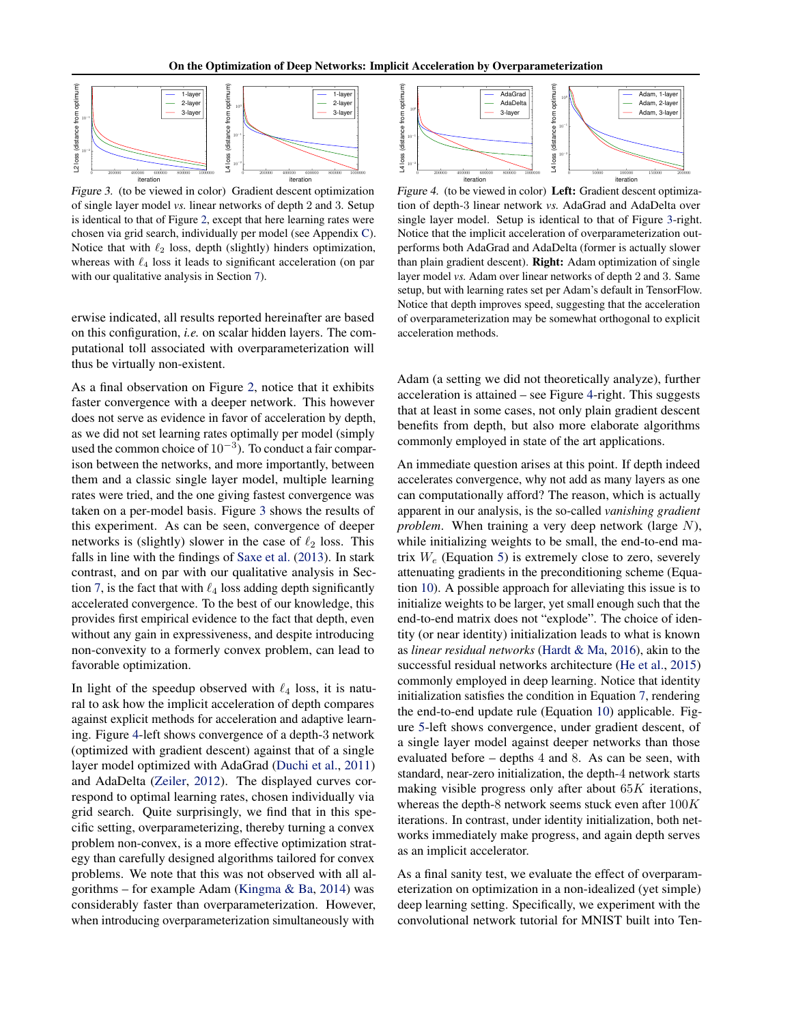<span id="page-7-0"></span>

Figure 3. (to be viewed in color) Gradient descent optimization of single layer model *vs.* linear networks of depth 2 and 3. Setup is identical to that of Figure [2,](#page-6-0) except that here learning rates were chosen via grid search, individually per model (see Appendix [C\)](#page-17-0). Notice that with  $\ell_2$  loss, depth (slightly) hinders optimization, whereas with  $\ell_4$  loss it leads to significant acceleration (on par with our qualitative analysis in Section [7\)](#page-5-0).

erwise indicated, all results reported hereinafter are based on this configuration, *i.e.* on scalar hidden layers. The computational toll associated with overparameterization will thus be virtually non-existent.

As a final observation on Figure [2,](#page-6-0) notice that it exhibits faster convergence with a deeper network. This however does not serve as evidence in favor of acceleration by depth, as we did not set learning rates optimally per model (simply used the common choice of  $10^{-3}$ ). To conduct a fair comparison between the networks, and more importantly, between them and a classic single layer model, multiple learning rates were tried, and the one giving fastest convergence was taken on a per-model basis. Figure 3 shows the results of this experiment. As can be seen, convergence of deeper networks is (slightly) slower in the case of  $\ell_2$  loss. This falls in line with the findings of [Saxe et al.](#page-9-0) [\(2013\)](#page-9-0). In stark contrast, and on par with our qualitative analysis in Sec-tion [7,](#page-5-0) is the fact that with  $\ell_4$  loss adding depth significantly accelerated convergence. To the best of our knowledge, this provides first empirical evidence to the fact that depth, even without any gain in expressiveness, and despite introducing non-convexity to a formerly convex problem, can lead to favorable optimization.

In light of the speedup observed with  $\ell_4$  loss, it is natural to ask how the implicit acceleration of depth compares against explicit methods for acceleration and adaptive learning. Figure 4-left shows convergence of a depth-3 network (optimized with gradient descent) against that of a single layer model optimized with AdaGrad [\(Duchi et al.,](#page-9-0) [2011\)](#page-9-0) and AdaDelta [\(Zeiler,](#page-9-0) [2012\)](#page-9-0). The displayed curves correspond to optimal learning rates, chosen individually via grid search. Quite surprisingly, we find that in this specific setting, overparameterizing, thereby turning a convex problem non-convex, is a more effective optimization strategy than carefully designed algorithms tailored for convex problems. We note that this was not observed with all algorithms – for example Adam [\(Kingma & Ba,](#page-9-0) [2014\)](#page-9-0) was considerably faster than overparameterization. However, when introducing overparameterization simultaneously with



Figure 4. (to be viewed in color) Left: Gradient descent optimization of depth-3 linear network *vs.* AdaGrad and AdaDelta over single layer model. Setup is identical to that of Figure 3-right. Notice that the implicit acceleration of overparameterization outperforms both AdaGrad and AdaDelta (former is actually slower than plain gradient descent). Right: Adam optimization of single layer model *vs.* Adam over linear networks of depth 2 and 3. Same setup, but with learning rates set per Adam's default in TensorFlow. Notice that depth improves speed, suggesting that the acceleration of overparameterization may be somewhat orthogonal to explicit acceleration methods.

Adam (a setting we did not theoretically analyze), further acceleration is attained – see Figure 4-right. This suggests that at least in some cases, not only plain gradient descent benefits from depth, but also more elaborate algorithms commonly employed in state of the art applications.

An immediate question arises at this point. If depth indeed accelerates convergence, why not add as many layers as one can computationally afford? The reason, which is actually apparent in our analysis, is the so-called *vanishing gradient problem*. When training a very deep network (large N), while initializing weights to be small, the end-to-end matrix  $W_e$  (Equation [5\)](#page-3-0) is extremely close to zero, severely attenuating gradients in the preconditioning scheme (Equation [10\)](#page-3-0). A possible approach for alleviating this issue is to initialize weights to be larger, yet small enough such that the end-to-end matrix does not "explode". The choice of identity (or near identity) initialization leads to what is known as *linear residual networks* [\(Hardt & Ma,](#page-9-0) [2016\)](#page-9-0), akin to the successful residual networks architecture [\(He et al.,](#page-9-0) [2015\)](#page-9-0) commonly employed in deep learning. Notice that identity initialization satisfies the condition in Equation [7,](#page-3-0) rendering the end-to-end update rule (Equation [10\)](#page-3-0) applicable. Figure [5-](#page-8-0)left shows convergence, under gradient descent, of a single layer model against deeper networks than those evaluated before – depths 4 and 8. As can be seen, with standard, near-zero initialization, the depth-4 network starts making visible progress only after about  $65K$  iterations, whereas the depth-8 network seems stuck even after  $100K$ iterations. In contrast, under identity initialization, both networks immediately make progress, and again depth serves as an implicit accelerator.

As a final sanity test, we evaluate the effect of overparameterization on optimization in a non-idealized (yet simple) deep learning setting. Specifically, we experiment with the convolutional network tutorial for MNIST built into Ten-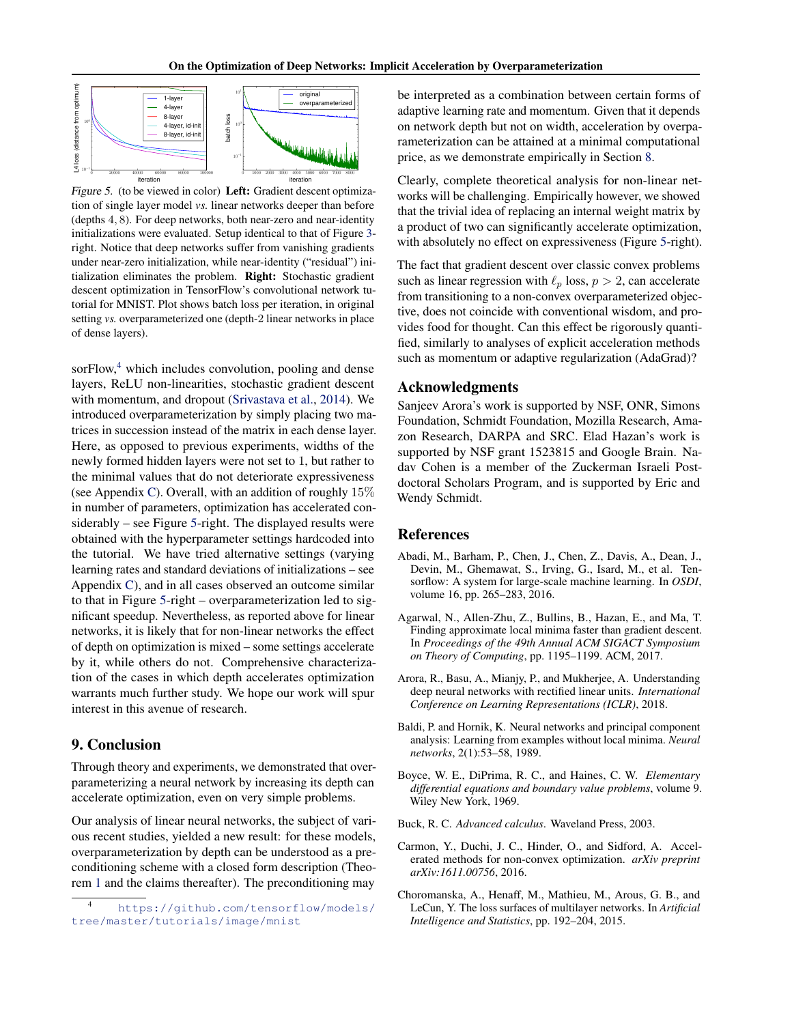<span id="page-8-0"></span>

Figure 5. (to be viewed in color) Left: Gradient descent optimization of single layer model *vs.* linear networks deeper than before (depths 4, 8). For deep networks, both near-zero and near-identity initializations were evaluated. Setup identical to that of Figure [3](#page-7-0) right. Notice that deep networks suffer from vanishing gradients under near-zero initialization, while near-identity ("residual") initialization eliminates the problem. Right: Stochastic gradient descent optimization in TensorFlow's convolutional network tutorial for MNIST. Plot shows batch loss per iteration, in original setting *vs.* overparameterized one (depth-2 linear networks in place of dense layers).

sor $Flow<sup>4</sup>$ , which includes convolution, pooling and dense layers, ReLU non-linearities, stochastic gradient descent with momentum, and dropout [\(Srivastava et al.,](#page-9-0) [2014\)](#page-9-0). We introduced overparameterization by simply placing two matrices in succession instead of the matrix in each dense layer. Here, as opposed to previous experiments, widths of the newly formed hidden layers were not set to 1, but rather to the minimal values that do not deteriorate expressiveness (see Appendix [C\)](#page-17-0). Overall, with an addition of roughly  $15\%$ in number of parameters, optimization has accelerated considerably – see Figure 5-right. The displayed results were obtained with the hyperparameter settings hardcoded into the tutorial. We have tried alternative settings (varying learning rates and standard deviations of initializations – see Appendix [C\)](#page-17-0), and in all cases observed an outcome similar to that in Figure 5-right – overparameterization led to significant speedup. Nevertheless, as reported above for linear networks, it is likely that for non-linear networks the effect of depth on optimization is mixed – some settings accelerate by it, while others do not. Comprehensive characterization of the cases in which depth accelerates optimization warrants much further study. We hope our work will spur interest in this avenue of research.

#### 9. Conclusion

Through theory and experiments, we demonstrated that overparameterizing a neural network by increasing its depth can accelerate optimization, even on very simple problems.

Our analysis of linear neural networks, the subject of various recent studies, yielded a new result: for these models, overparameterization by depth can be understood as a preconditioning scheme with a closed form description (Theorem [1](#page-3-0) and the claims thereafter). The preconditioning may

be interpreted as a combination between certain forms of adaptive learning rate and momentum. Given that it depends on network depth but not on width, acceleration by overparameterization can be attained at a minimal computational price, as we demonstrate empirically in Section [8.](#page-6-0)

Clearly, complete theoretical analysis for non-linear networks will be challenging. Empirically however, we showed that the trivial idea of replacing an internal weight matrix by a product of two can significantly accelerate optimization, with absolutely no effect on expressiveness (Figure 5-right).

The fact that gradient descent over classic convex problems such as linear regression with  $\ell_p$  loss,  $p > 2$ , can accelerate from transitioning to a non-convex overparameterized objective, does not coincide with conventional wisdom, and provides food for thought. Can this effect be rigorously quantified, similarly to analyses of explicit acceleration methods such as momentum or adaptive regularization (AdaGrad)?

#### Acknowledgments

Sanjeev Arora's work is supported by NSF, ONR, Simons Foundation, Schmidt Foundation, Mozilla Research, Amazon Research, DARPA and SRC. Elad Hazan's work is supported by NSF grant 1523815 and Google Brain. Nadav Cohen is a member of the Zuckerman Israeli Postdoctoral Scholars Program, and is supported by Eric and Wendy Schmidt.

#### References

- Abadi, M., Barham, P., Chen, J., Chen, Z., Davis, A., Dean, J., Devin, M., Ghemawat, S., Irving, G., Isard, M., et al. Tensorflow: A system for large-scale machine learning. In *OSDI*, volume 16, pp. 265–283, 2016.
- Agarwal, N., Allen-Zhu, Z., Bullins, B., Hazan, E., and Ma, T. Finding approximate local minima faster than gradient descent. In *Proceedings of the 49th Annual ACM SIGACT Symposium on Theory of Computing*, pp. 1195–1199. ACM, 2017.
- Arora, R., Basu, A., Mianjy, P., and Mukherjee, A. Understanding deep neural networks with rectified linear units. *International Conference on Learning Representations (ICLR)*, 2018.
- Baldi, P. and Hornik, K. Neural networks and principal component analysis: Learning from examples without local minima. *Neural networks*, 2(1):53–58, 1989.
- Boyce, W. E., DiPrima, R. C., and Haines, C. W. *Elementary differential equations and boundary value problems*, volume 9. Wiley New York, 1969.
- Buck, R. C. *Advanced calculus*. Waveland Press, 2003.
- Carmon, Y., Duchi, J. C., Hinder, O., and Sidford, A. Accelerated methods for non-convex optimization. *arXiv preprint arXiv:1611.00756*, 2016.
- Choromanska, A., Henaff, M., Mathieu, M., Arous, G. B., and LeCun, Y. The loss surfaces of multilayer networks. In *Artificial Intelligence and Statistics*, pp. 192–204, 2015.

<sup>4</sup> [https://github.com/tensorflow/models/](https://github.com/tensorflow/models/tree/master/tutorials/image/mnist) [tree/master/tutorials/image/mnist](https://github.com/tensorflow/models/tree/master/tutorials/image/mnist)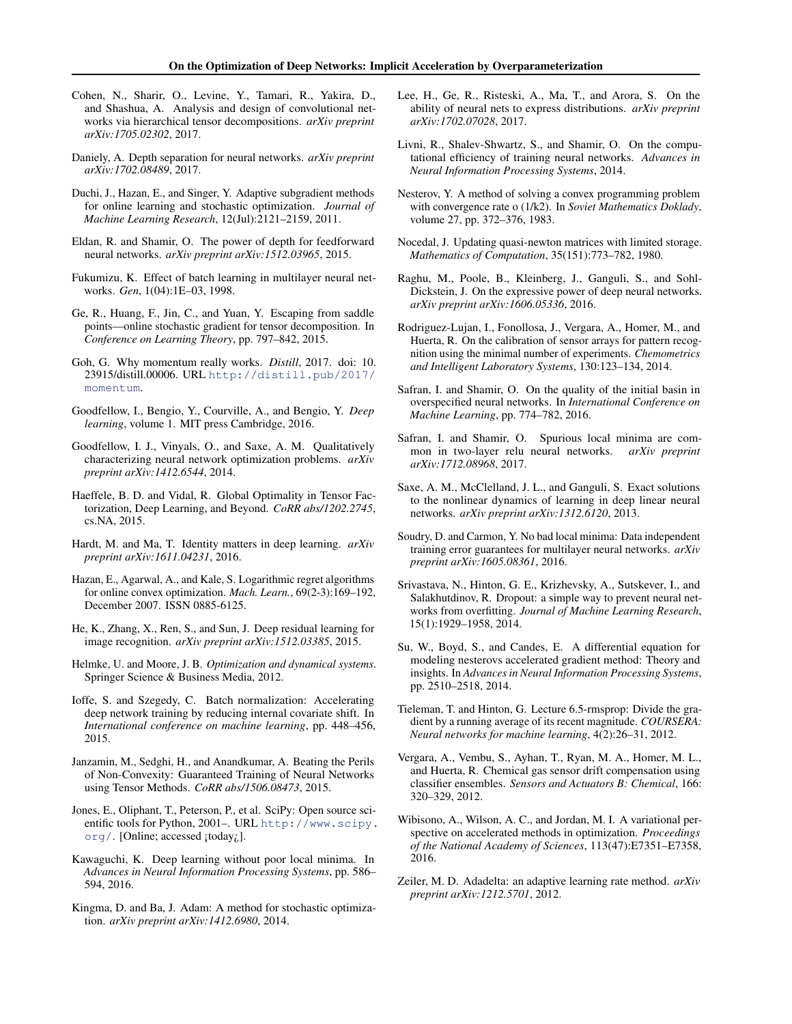- <span id="page-9-0"></span>Cohen, N., Sharir, O., Levine, Y., Tamari, R., Yakira, D., and Shashua, A. Analysis and design of convolutional networks via hierarchical tensor decompositions. *arXiv preprint arXiv:1705.02302*, 2017.
- Daniely, A. Depth separation for neural networks. *arXiv preprint arXiv:1702.08489*, 2017.
- Duchi, J., Hazan, E., and Singer, Y. Adaptive subgradient methods for online learning and stochastic optimization. *Journal of Machine Learning Research*, 12(Jul):2121–2159, 2011.
- Eldan, R. and Shamir, O. The power of depth for feedforward neural networks. *arXiv preprint arXiv:1512.03965*, 2015.
- Fukumizu, K. Effect of batch learning in multilayer neural networks. *Gen*, 1(04):1E–03, 1998.
- Ge, R., Huang, F., Jin, C., and Yuan, Y. Escaping from saddle points—online stochastic gradient for tensor decomposition. In *Conference on Learning Theory*, pp. 797–842, 2015.
- Goh, G. Why momentum really works. *Distill*, 2017. doi: 10. 23915/distill.00006. URL [http://distill.pub/2017/](http://distill.pub/2017/momentum) [momentum](http://distill.pub/2017/momentum).
- Goodfellow, I., Bengio, Y., Courville, A., and Bengio, Y. *Deep learning*, volume 1. MIT press Cambridge, 2016.
- Goodfellow, I. J., Vinyals, O., and Saxe, A. M. Qualitatively characterizing neural network optimization problems. *arXiv preprint arXiv:1412.6544*, 2014.
- Haeffele, B. D. and Vidal, R. Global Optimality in Tensor Factorization, Deep Learning, and Beyond. *CoRR abs/1202.2745*, cs.NA, 2015.
- Hardt, M. and Ma, T. Identity matters in deep learning. *arXiv preprint arXiv:1611.04231*, 2016.
- Hazan, E., Agarwal, A., and Kale, S. Logarithmic regret algorithms for online convex optimization. *Mach. Learn.*, 69(2-3):169–192, December 2007. ISSN 0885-6125.
- He, K., Zhang, X., Ren, S., and Sun, J. Deep residual learning for image recognition. *arXiv preprint arXiv:1512.03385*, 2015.
- Helmke, U. and Moore, J. B. *Optimization and dynamical systems*. Springer Science & Business Media, 2012.
- Ioffe, S. and Szegedy, C. Batch normalization: Accelerating deep network training by reducing internal covariate shift. In *International conference on machine learning*, pp. 448–456, 2015.
- Janzamin, M., Sedghi, H., and Anandkumar, A. Beating the Perils of Non-Convexity: Guaranteed Training of Neural Networks using Tensor Methods. *CoRR abs/1506.08473*, 2015.
- Jones, E., Oliphant, T., Peterson, P., et al. SciPy: Open source scientific tools for Python, 2001–. URL [http://www.scipy.](http://www.scipy.org/) [org/](http://www.scipy.org/). [Online; accessed ¡today¿].
- Kawaguchi, K. Deep learning without poor local minima. In *Advances in Neural Information Processing Systems*, pp. 586– 594, 2016.
- Kingma, D. and Ba, J. Adam: A method for stochastic optimization. *arXiv preprint arXiv:1412.6980*, 2014.
- Lee, H., Ge, R., Risteski, A., Ma, T., and Arora, S. On the ability of neural nets to express distributions. *arXiv preprint arXiv:1702.07028*, 2017.
- Livni, R., Shalev-Shwartz, S., and Shamir, O. On the computational efficiency of training neural networks. *Advances in Neural Information Processing Systems*, 2014.
- Nesterov, Y. A method of solving a convex programming problem with convergence rate o (1/k2). In *Soviet Mathematics Doklady*, volume 27, pp. 372–376, 1983.
- Nocedal, J. Updating quasi-newton matrices with limited storage. *Mathematics of Computation*, 35(151):773–782, 1980.
- Raghu, M., Poole, B., Kleinberg, J., Ganguli, S., and Sohl-Dickstein, J. On the expressive power of deep neural networks. *arXiv preprint arXiv:1606.05336*, 2016.
- Rodriguez-Lujan, I., Fonollosa, J., Vergara, A., Homer, M., and Huerta, R. On the calibration of sensor arrays for pattern recognition using the minimal number of experiments. *Chemometrics and Intelligent Laboratory Systems*, 130:123–134, 2014.
- Safran, I. and Shamir, O. On the quality of the initial basin in overspecified neural networks. In *International Conference on Machine Learning*, pp. 774–782, 2016.
- Safran, I. and Shamir, O. Spurious local minima are common in two-layer relu neural networks. *arXiv preprint arXiv:1712.08968*, 2017.
- Saxe, A. M., McClelland, J. L., and Ganguli, S. Exact solutions to the nonlinear dynamics of learning in deep linear neural networks. *arXiv preprint arXiv:1312.6120*, 2013.
- Soudry, D. and Carmon, Y. No bad local minima: Data independent training error guarantees for multilayer neural networks. *arXiv preprint arXiv:1605.08361*, 2016.
- Srivastava, N., Hinton, G. E., Krizhevsky, A., Sutskever, I., and Salakhutdinov, R. Dropout: a simple way to prevent neural networks from overfitting. *Journal of Machine Learning Research*, 15(1):1929–1958, 2014.
- Su, W., Boyd, S., and Candes, E. A differential equation for modeling nesterovs accelerated gradient method: Theory and insights. In *Advances in Neural Information Processing Systems*, pp. 2510–2518, 2014.
- Tieleman, T. and Hinton, G. Lecture 6.5-rmsprop: Divide the gradient by a running average of its recent magnitude. *COURSERA: Neural networks for machine learning*, 4(2):26–31, 2012.
- Vergara, A., Vembu, S., Ayhan, T., Ryan, M. A., Homer, M. L., and Huerta, R. Chemical gas sensor drift compensation using classifier ensembles. *Sensors and Actuators B: Chemical*, 166: 320–329, 2012.
- Wibisono, A., Wilson, A. C., and Jordan, M. I. A variational perspective on accelerated methods in optimization. *Proceedings of the National Academy of Sciences*, 113(47):E7351–E7358, 2016.
- Zeiler, M. D. Adadelta: an adaptive learning rate method. *arXiv preprint arXiv:1212.5701*, 2012.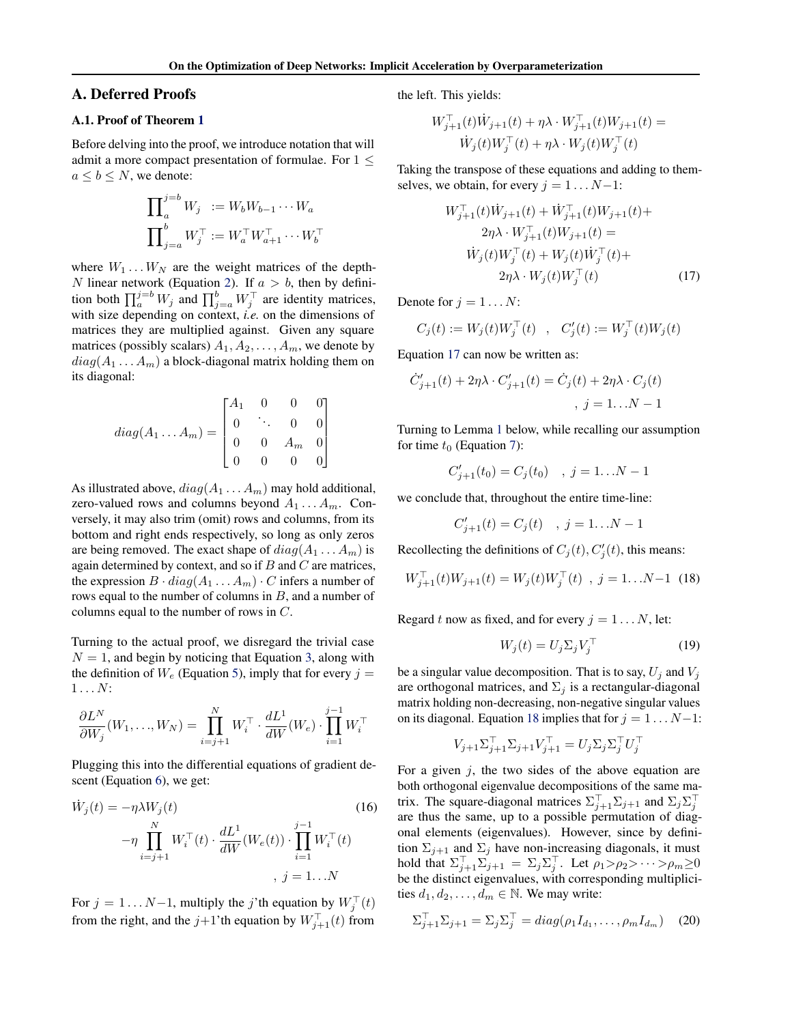#### <span id="page-10-0"></span>A. Deferred Proofs

#### A.1. Proof of Theorem [1](#page-3-0)

Before delving into the proof, we introduce notation that will admit a more compact presentation of formulae. For  $1 \leq$  $a \leq b \leq N$ , we denote:

$$
\prod_{a}^{j=b} W_j := W_b W_{b-1} \cdots W_a
$$
  

$$
\prod_{j=a}^{b} W_j^\top := W_a^\top W_{a+1}^\top \cdots W_b^\top
$$

where  $W_1 \dots W_N$  are the weight matrices of the depth-N linear network (Equation [2\)](#page-2-0). If  $a > b$ , then by definition both  $\prod_{a}^{j=b} W_j$  and  $\prod_{j=a}^{b} W_j^{\top}$  are identity matrices, with size depending on context, *i.e.* on the dimensions of matrices they are multiplied against. Given any square matrices (possibly scalars)  $A_1, A_2, \ldots, A_m$ , we denote by  $diag(A_1 \ldots A_m)$  a block-diagonal matrix holding them on its diagonal:

$$
diag(A_1 \dots A_m) = \begin{bmatrix} A_1 & 0 & 0 & 0 \\ 0 & \ddots & 0 & 0 \\ 0 & 0 & A_m & 0 \\ 0 & 0 & 0 & 0 \end{bmatrix}
$$

As illustrated above,  $diag(A_1 \ldots A_m)$  may hold additional, zero-valued rows and columns beyond  $A_1 \ldots A_m$ . Conversely, it may also trim (omit) rows and columns, from its bottom and right ends respectively, so long as only zeros are being removed. The exact shape of  $diag(A_1 \ldots A_m)$  is again determined by context, and so if  $B$  and  $C$  are matrices, the expression  $B \cdot diag(A_1 \ldots A_m) \cdot C$  infers a number of rows equal to the number of columns in  $B$ , and a number of columns equal to the number of rows in C.

Turning to the actual proof, we disregard the trivial case  $N = 1$ , and begin by noticing that Equation [3,](#page-2-0) along with the definition of  $W_e$  (Equation [5\)](#page-3-0), imply that for every  $j =$  $1 \ldots N$ :

$$
\frac{\partial L^N}{\partial W_j}(W_1,\ldots,W_N) = \prod_{i=j+1}^N W_i^{\top} \cdot \frac{dL^1}{dW}(W_e) \cdot \prod_{i=1}^{j-1} W_i^{\top}
$$

Plugging this into the differential equations of gradient descent (Equation [6\)](#page-3-0), we get:

$$
\dot{W}_j(t) = -\eta \lambda W_j(t) \tag{16}
$$
\n
$$
-\eta \prod_{i=j+1}^N W_i^{\top}(t) \cdot \frac{dL^1}{dW}(W_e(t)) \cdot \prod_{i=1}^{j-1} W_i^{\top}(t) \tag{16}
$$
\n
$$
, j = 1...N
$$

For  $j = 1...N-1$ , multiply the j'th equation by  $W_j^{\top}(t)$ from the right, and the  $j+1$ 'th equation by  $W_{j+1}^{\top}(t)$  from

the left. This yields:

$$
W_{j+1}^{\top}(t)\dot{W}_{j+1}(t) + \eta \lambda \cdot W_{j+1}^{\top}(t)W_{j+1}(t) =
$$
  

$$
\dot{W}_j(t)W_j^{\top}(t) + \eta \lambda \cdot W_j(t)W_j^{\top}(t)
$$

Taking the transpose of these equations and adding to themselves, we obtain, for every  $j = 1 \dots N-1$ :

$$
W_{j+1}^{\top}(t)\dot{W}_{j+1}(t) + \dot{W}_{j+1}^{\top}(t)W_{j+1}(t) + 2\eta\lambda \cdot W_{j+1}^{\top}(t)W_{j+1}(t) = 0
$$
  

$$
\dot{W}_j(t)W_j^{\top}(t) + W_j(t)\dot{W}_j^{\top}(t) + 2\eta\lambda \cdot W_j(t)W_j^{\top}(t)
$$
 (17)

Denote for  $j = 1 \dots N$ :

$$
C_j(t) := W_j(t)W_j^{\top}(t)
$$
,  $C'_j(t) := W_j^{\top}(t)W_j(t)$ 

Equation 17 can now be written as:

$$
\dot{C}_{j+1}'(t) + 2\eta\lambda \cdot C_{j+1}'(t) = \dot{C}_j(t) + 2\eta\lambda \cdot C_j(t)
$$
  
,  $j = 1...N - 1$ 

Turning to Lemma [1](#page-11-0) below, while recalling our assumption for time  $t_0$  (Equation [7\)](#page-3-0):

$$
C'_{j+1}(t_0) = C_j(t_0) \quad , \ j = 1...N-1
$$

we conclude that, throughout the entire time-line:

$$
C'_{j+1}(t) = C_j(t) \quad , \ j = 1...N-1
$$

Recollecting the definitions of  $C_j(t)$ ,  $C'_j(t)$ , this means:

$$
W_{j+1}^{\top}(t)W_{j+1}(t) = W_j(t)W_j^{\top}(t) , j = 1...N-1
$$
 (18)

Regard t now as fixed, and for every  $j = 1 \dots N$ , let:

$$
W_j(t) = U_j \Sigma_j V_j^\top \tag{19}
$$

be a singular value decomposition. That is to say,  $U_j$  and  $V_j$ are orthogonal matrices, and  $\Sigma_j$  is a rectangular-diagonal matrix holding non-decreasing, non-negative singular values on its diagonal. Equation 18 implies that for  $j = 1 \dots N-1$ :

$$
V_{j+1}\Sigma_{j+1}^\top\Sigma_{j+1}V_{j+1}^\top=U_j\Sigma_j\Sigma_j^\top U_j^\top
$$

For a given  $i$ , the two sides of the above equation are both orthogonal eigenvalue decompositions of the same matrix. The square-diagonal matrices  $\Sigma_{j+1}^{\top} \Sigma_{j+1}$  and  $\Sigma_j \Sigma_j^{\top}$ are thus the same, up to a possible permutation of diagonal elements (eigenvalues). However, since by definition  $\Sigma_{i+1}$  and  $\Sigma_i$  have non-increasing diagonals, it must hold that  $\Sigma_{j+1}^{\top} \Sigma_{j+1} = \Sigma_j \Sigma_j^{\top}$ . Let  $\rho_1 > \rho_2 > \cdots > \rho_m \ge 0$ be the distinct eigenvalues, with corresponding multiplicities  $d_1, d_2, \ldots, d_m \in \mathbb{N}$ . We may write:

$$
\Sigma_{j+1}^{\top} \Sigma_{j+1} = \Sigma_j \Sigma_j^{\top} = diag(\rho_1 I_{d_1}, \dots, \rho_m I_{d_m}) \quad (20)
$$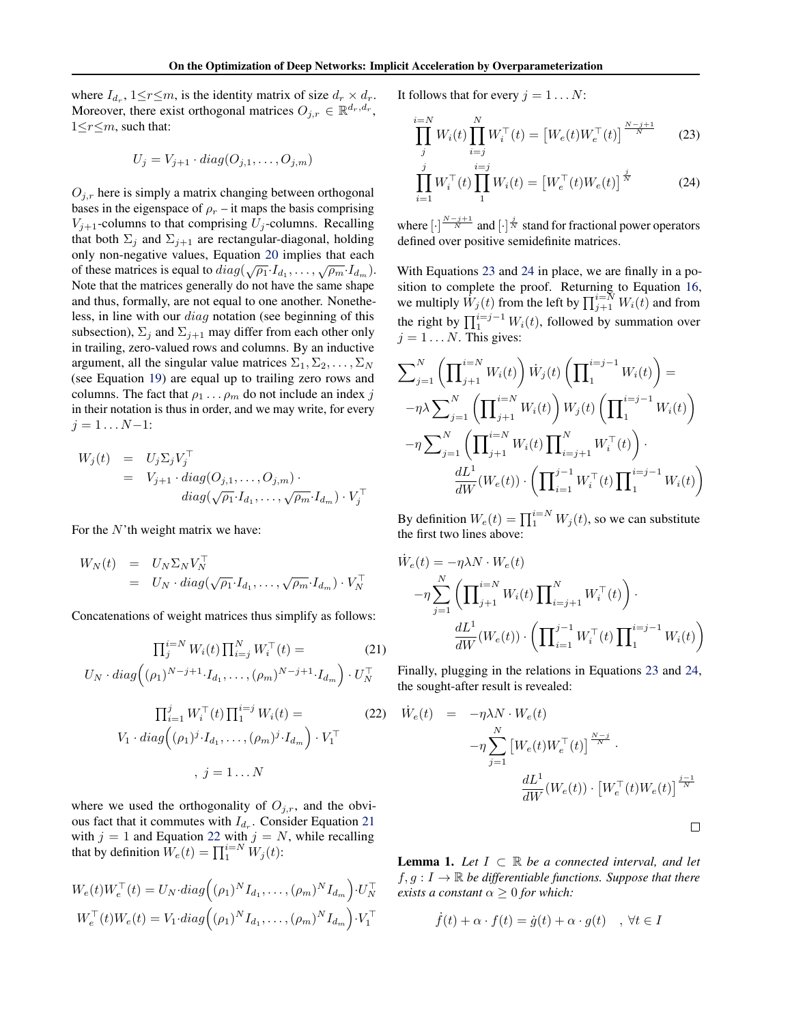<span id="page-11-0"></span>where  $I_{d_r}$ ,  $1 \le r \le m$ , is the identity matrix of size  $d_r \times d_r$ . Moreover, there exist orthogonal matrices  $O_{j,r} \in \mathbb{R}^{d_r, d_r}$ ,  $1 \leq r \leq m$ , such that:

$$
U_j = V_{j+1} \cdot diag(O_{j,1}, \dots, O_{j,m})
$$

 $O_{i,r}$  here is simply a matrix changing between orthogonal bases in the eigenspace of  $\rho_r$  – it maps the basis comprising  $V_{j+1}$ -columns to that comprising  $U_j$ -columns. Recalling that both  $\Sigma_j$  and  $\Sigma_{j+1}$  are rectangular-diagonal, holding only non-negative values, Equation [20](#page-10-0) implies that each of these matrices is equal to  $diag(\sqrt{\rho_1} \cdot I_{d_1}, \dots, \sqrt{\rho_m} \cdot I_{d_m}).$ Note that the matrices generally do not have the same shape and thus, formally, are not equal to one another. Nonetheless, in line with our diag notation (see beginning of this subsection),  $\Sigma_j$  and  $\Sigma_{j+1}$  may differ from each other only in trailing, zero-valued rows and columns. By an inductive argument, all the singular value matrices  $\Sigma_1, \Sigma_2, \ldots, \Sigma_N$ (see Equation [19\)](#page-10-0) are equal up to trailing zero rows and columns. The fact that  $\rho_1 \dots \rho_m$  do not include an index j in their notation is thus in order, and we may write, for every  $j = 1 \dots N-1$ :

$$
W_j(t) = U_j \Sigma_j V_j^{\top}
$$
  
=  $V_{j+1} \cdot diag(O_{j,1},...,O_{j,m}) \cdot diag(\sqrt{\rho_1} \cdot I_{d_1},..., \sqrt{\rho_m} \cdot I_{d_m}) \cdot V_j^{\top}$ 

For the  $N$ 'th weight matrix we have:

$$
W_N(t) = U_N \Sigma_N V_N^{\top}
$$
  
=  $U_N \cdot diag(\sqrt{\rho_1} \cdot I_{d_1}, \dots, \sqrt{\rho_m} \cdot I_{d_m}) \cdot V_N^{\top}$ 

Concatenations of weight matrices thus simplify as follows:

$$
\prod_{j}^{i=N} W_i(t) \prod_{i=j}^{N} W_i^{\top}(t) =
$$
\n
$$
U_N \cdot diag\left( (\rho_1)^{N-j+1} \cdot I_{d_1}, \dots, (\rho_m)^{N-j+1} \cdot I_{d_m} \right) \cdot U_N^{\top}
$$
\n(21)

$$
\prod_{i=1}^{j} W_i^{\top}(t) \prod_{i=1}^{i=j} W_i(t) =
$$
  
\n
$$
V_1 \cdot diag((\rho_1)^j \cdot I_{d_1}, \dots, (\rho_m)^j \cdot I_{d_m}) \cdot V_1^{\top}
$$
  
\n
$$
, j = 1 \dots N
$$
\n(22)

where we used the orthogonality of  $O_{i,r}$ , and the obvious fact that it commutes with  $I_{d_r}$ . Consider Equation 21 with  $j = 1$  and Equation 22 with  $j = N$ , while recalling that by definition  $\dot{W}_e(t) = \prod_1^{i=N} \dot{W}_j(t)$ :

$$
W_e(t)W_e^{\top}(t) = U_N \cdot diag\left((\rho_1)^N I_{d_1}, \dots, (\rho_m)^N I_{d_m}\right) \cdot U_N^{\top}
$$
  

$$
W_e^{\top}(t)W_e(t) = V_1 \cdot diag\left((\rho_1)^N I_{d_1}, \dots, (\rho_m)^N I_{d_m}\right) \cdot V_1^{\top}
$$

It follows that for every  $j = 1 \dots N$ :

$$
\prod_{j}^{i=N} W_i(t) \prod_{i=j}^{N} W_i^{\top}(t) = \left[ W_e(t) W_e^{\top}(t) \right]^{\frac{N-j+1}{N}} \tag{23}
$$

$$
\prod_{i=1}^{j} W_i^{\top}(t) \prod_1^{i=j} W_i(t) = \left[ W_e^{\top}(t) W_e(t) \right]^{\frac{j}{N}}
$$
(24)

where  $\left[\cdot\right]^{\frac{N-j+1}{N}}$  and  $\left[\cdot\right]^{\frac{j}{N}}$  stand for fractional power operators defined over positive semidefinite matrices.

With Equations 23 and 24 in place, we are finally in a position to complete the proof. Returning to Equation [16,](#page-10-0) we multiply  $\hat{W}_j(t)$  from the left by  $\prod_{j=1}^{i=N} W_i(t)$  and from the right by  $\prod_{i=1}^{i=j-1} W_i(t)$ , followed by summation over  $j = 1 \dots N$ . This gives:

$$
\sum_{j=1}^{N} \left( \prod_{j+1}^{i=N} W_i(t) \right) \dot{W}_j(t) \left( \prod_{1}^{i=j-1} W_i(t) \right) =
$$
  

$$
-\eta \lambda \sum_{j=1}^{N} \left( \prod_{j+1}^{i=N} W_i(t) \right) W_j(t) \left( \prod_{1}^{i=j-1} W_i(t) \right)
$$
  

$$
-\eta \sum_{j=1}^{N} \left( \prod_{j+1}^{i=N} W_i(t) \prod_{i=j+1}^{N} W_i^{\top}(t) \right) \cdot
$$
  

$$
\frac{dL^1}{dW} (W_e(t)) \cdot \left( \prod_{i=1}^{j-1} W_i^{\top}(t) \prod_{1}^{i=j-1} W_i(t) \right)
$$

By definition  $W_e(t) = \prod_1^{i=N} W_j(t)$ , so we can substitute the first two lines above:

$$
\dot{W}_e(t) = -\eta \lambda N \cdot W_e(t) \n- \eta \sum_{j=1}^N \left( \prod_{j+1}^{i=N} W_i(t) \prod_{i=j+1}^N W_i^{\top}(t) \right) \cdot \n\frac{dL^1}{dW}(W_e(t)) \cdot \left( \prod_{i=1}^{j-1} W_i^{\top}(t) \prod_1^{i=j-1} W_i(t) \right)
$$

Finally, plugging in the relations in Equations 23 and 24, the sought-after result is revealed:

$$
\dot{W}_e(t) = -\eta \lambda N \cdot W_e(t) \n- \eta \sum_{j=1}^N \left[ W_e(t) W_e^{\top}(t) \right]^{\frac{N-j}{N}} \cdot \n\frac{dL^1}{dW}(W_e(t)) \cdot \left[ W_e^{\top}(t) W_e(t) \right]^{\frac{j-1}{N}} \n\Box
$$

**Lemma 1.** Let  $I \subset \mathbb{R}$  be a connected interval, and let  $f, g: I \to \mathbb{R}$  *be differentiable functions. Suppose that there exists a constant*  $\alpha \geq 0$  *for which:* 

$$
\dot{f}(t) + \alpha \cdot f(t) = \dot{g}(t) + \alpha \cdot g(t) \quad , \forall t \in I
$$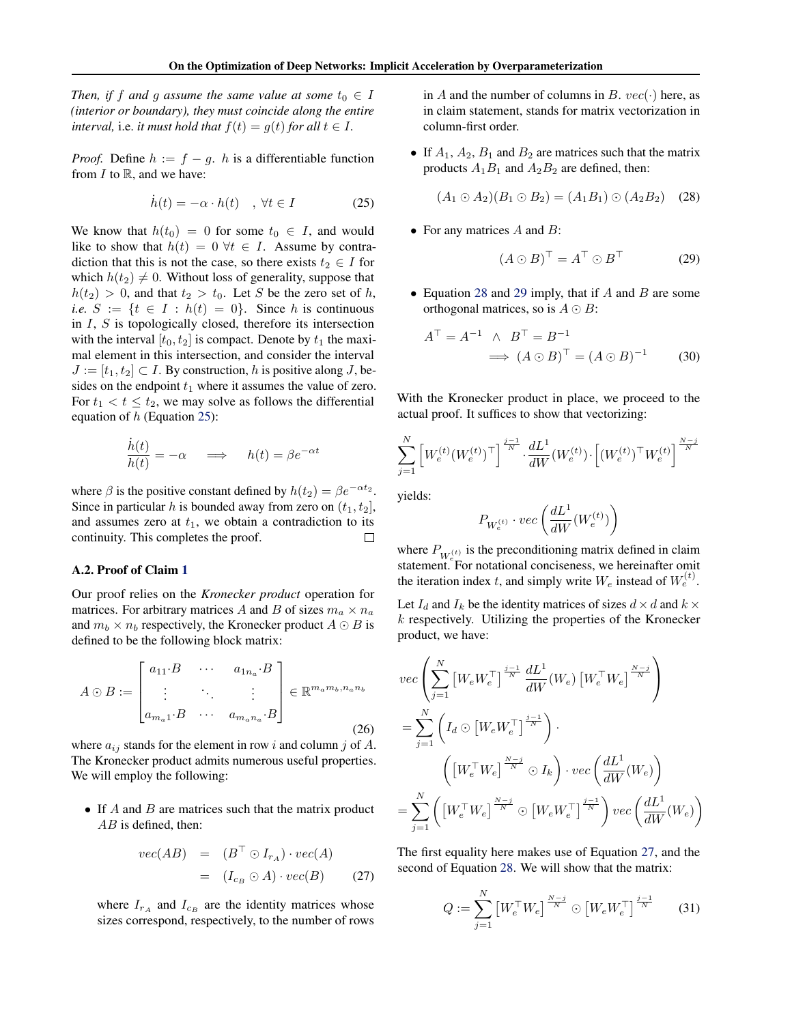<span id="page-12-0"></span>*Then, if*  $f$  *and*  $g$  *assume the same value at some*  $t_0 \in I$ *(interior or boundary), they must coincide along the entire interval, i.e. it must hold that*  $f(t) = g(t)$  *for all*  $t \in I$ *.* 

*Proof.* Define  $h := f - g$ . h is a differentiable function from  $I$  to  $\mathbb{R}$ , and we have:

$$
\dot{h}(t) = -\alpha \cdot h(t) \quad , \forall t \in I \tag{25}
$$

We know that  $h(t_0) = 0$  for some  $t_0 \in I$ , and would like to show that  $h(t) = 0 \forall t \in I$ . Assume by contradiction that this is not the case, so there exists  $t_2 \in I$  for which  $h(t_2) \neq 0$ . Without loss of generality, suppose that  $h(t_2) > 0$ , and that  $t_2 > t_0$ . Let S be the zero set of h, *i.e.*  $S := \{t \in I : h(t) = 0\}$ . Since h is continuous in  $I$ ,  $S$  is topologically closed, therefore its intersection with the interval  $[t_0, t_2]$  is compact. Denote by  $t_1$  the maximal element in this intersection, and consider the interval  $J := [t_1, t_2] \subset I$ . By construction, h is positive along J, besides on the endpoint  $t_1$  where it assumes the value of zero. For  $t_1 < t \leq t_2$ , we may solve as follows the differential equation of  $h$  (Equation 25):

$$
\frac{\dot{h}(t)}{h(t)} = -\alpha \quad \implies \quad h(t) = \beta e^{-\alpha t}
$$

where  $\beta$  is the positive constant defined by  $h(t_2) = \beta e^{-\alpha t_2}$ . Since in particular h is bounded away from zero on  $(t_1, t_2]$ , and assumes zero at  $t_1$ , we obtain a contradiction to its continuity. This completes the proof. П

#### A.2. Proof of Claim [1](#page-4-0)

Our proof relies on the *Kronecker product* operation for matrices. For arbitrary matrices A and B of sizes  $m_a \times n_a$ and  $m_b \times n_b$  respectively, the Kronecker product  $A \odot B$  is defined to be the following block matrix:

$$
A \odot B := \begin{bmatrix} a_{11} \cdot B & \cdots & a_{1n_a} \cdot B \\ \vdots & \ddots & \vdots \\ a_{m_a 1} \cdot B & \cdots & a_{m_a n_a} \cdot B \end{bmatrix} \in \mathbb{R}^{m_a m_b, n_a n_b}
$$
\n(26)

where  $a_{ij}$  stands for the element in row i and column j of A. The Kronecker product admits numerous useful properties. We will employ the following:

• If  $A$  and  $B$  are matrices such that the matrix product AB is defined, then:

$$
vec(AB) = (B^{\top} \odot I_{r_A}) \cdot vec(A)
$$
  
=  $(I_{c_B} \odot A) \cdot vec(B)$  (27)

where  $I_{r_A}$  and  $I_{c_B}$  are the identity matrices whose sizes correspond, respectively, to the number of rows in A and the number of columns in B.  $vec(\cdot)$  here, as in claim statement, stands for matrix vectorization in column-first order.

• If  $A_1$ ,  $A_2$ ,  $B_1$  and  $B_2$  are matrices such that the matrix products  $A_1B_1$  and  $A_2B_2$  are defined, then:

$$
(A_1 \odot A_2)(B_1 \odot B_2) = (A_1 B_1) \odot (A_2 B_2) \quad (28)
$$

• For any matrices  $A$  and  $B$ :

$$
(A \odot B)^{\top} = A^{\top} \odot B^{\top}
$$
 (29)

• Equation 28 and 29 imply, that if  $A$  and  $B$  are some orthogonal matrices, so is  $A \odot B$ :

$$
AT = A-1 \wedge BT = B-1
$$
  

$$
\implies (A \odot B)T = (A \odot B)-1
$$
(30)

With the Kronecker product in place, we proceed to the actual proof. It suffices to show that vectorizing:

$$
\sum_{j=1}^N \left[W_e^{(t)} ({W_e^{(t)}})^\top\right]^{\frac{j-1}{N}} \cdot \frac{d L^1}{d W} ({W_e^{(t)}}) \cdot \left[ ({W_e^{(t)}})^\top {W_e^{(t)}}\right]^{\frac{N-j}{N}}
$$

yields:

A

$$
P_{W_e^{(t)}}\cdot vec\left(\frac{dL^1}{dW}(W_e^{(t)})\right)
$$

where  $P_{W_{e-}^{(t)}}$  is the preconditioning matrix defined in claim statement. For notational conciseness, we hereinafter omit the iteration index t, and simply write  $W_e$  instead of  $W_e^{(t)}$ .

Let  $I_d$  and  $I_k$  be the identity matrices of sizes  $d \times d$  and  $k \times d$  $k$  respectively. Utilizing the properties of the Kronecker product, we have:

$$
vec\left(\sum_{j=1}^{N} \left[W_e W_e^{\top}\right]^{\frac{j-1}{N}} \frac{dL^1}{dW}(W_e) \left[W_e^{\top} W_e\right]^{\frac{N-j}{N}}\right)
$$
  

$$
= \sum_{j=1}^{N} \left(I_d \odot \left[W_e W_e^{\top}\right]^{\frac{j-1}{N}}\right) \cdot \left(\left[W_e^{\top} W_e\right]^{\frac{N-j}{N}} \odot I_k\right) \cdot vec\left(\frac{dL^1}{dW}(W_e)\right)
$$
  

$$
= \sum_{j=1}^{N} \left(\left[W_e^{\top} W_e\right]^{\frac{N-j}{N}} \odot \left[W_e W_e^{\top}\right]^{\frac{j-1}{N}}\right) vec\left(\frac{dL^1}{dW}(W_e)\right)
$$

The first equality here makes use of Equation 27, and the second of Equation 28. We will show that the matrix:

$$
Q := \sum_{j=1}^{N} \left[ W_e^{\top} W_e \right]^{\frac{N-j}{N}} \odot \left[ W_e W_e^{\top} \right]^{\frac{j-1}{N}} \tag{31}
$$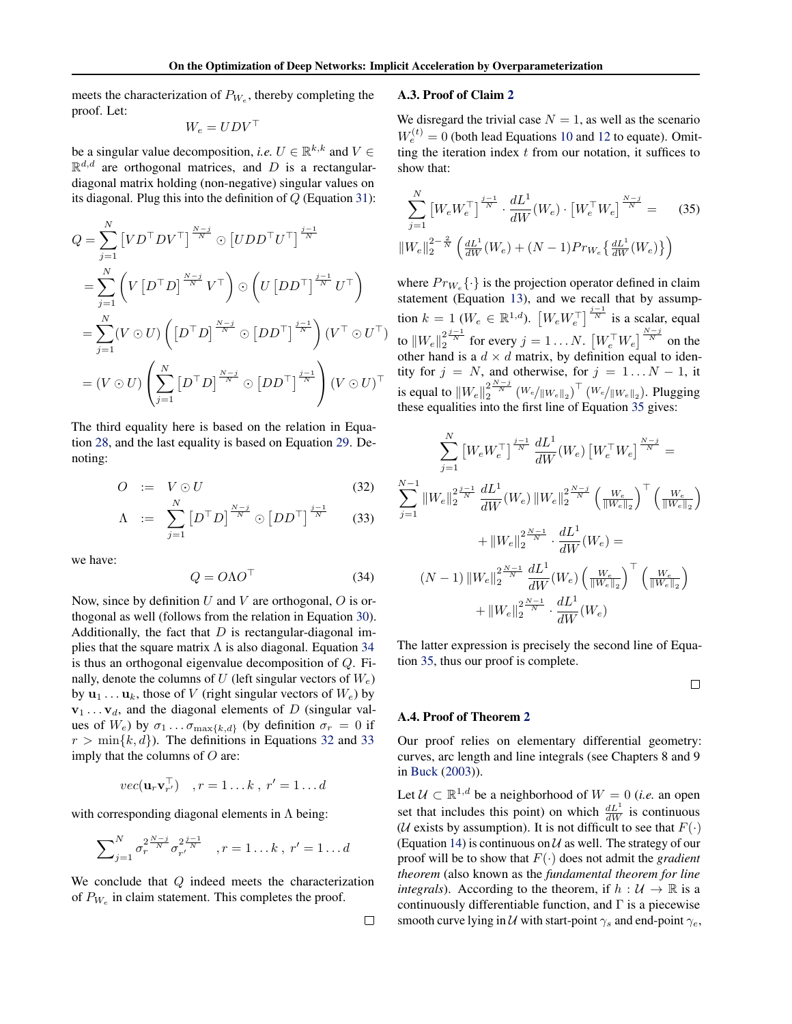<span id="page-13-0"></span>meets the characterization of  $P_{W_e}$ , thereby completing the proof. Let:

$$
W_e = U D V^{\top}
$$

be a singular value decomposition, *i.e.*  $U \in \mathbb{R}^{k,k}$  and  $V \in$  $\mathbb{R}^{d,d}$  are orthogonal matrices, and D is a rectangulardiagonal matrix holding (non-negative) singular values on its diagonal. Plug this into the definition of  $Q$  (Equation [31\)](#page-12-0):

$$
Q = \sum_{j=1}^{N} \left[ V D^{\top} D V^{\top} \right]^{\frac{N-j}{N}} \odot \left[ U D D^{\top} U^{\top} \right]^{\frac{j-1}{N}}
$$
  
\n
$$
= \sum_{j=1}^{N} \left( V \left[ D^{\top} D \right]^{\frac{N-j}{N}} V^{\top} \right) \odot \left( U \left[ D D^{\top} \right]^{\frac{j-1}{N}} U^{\top} \right)
$$
  
\n
$$
= \sum_{j=1}^{N} \left( V \odot U \right) \left( \left[ D^{\top} D \right]^{\frac{N-j}{N}} \odot \left[ D D^{\top} \right]^{\frac{j-1}{N}} \right) \left( V^{\top} \odot U^{\top} \right)
$$
  
\n
$$
= \left( V \odot U \right) \left( \sum_{j=1}^{N} \left[ D^{\top} D \right]^{\frac{N-j}{N}} \odot \left[ D D^{\top} \right]^{\frac{j-1}{N}} \right) \left( V \odot U \right)^{\top}
$$

The third equality here is based on the relation in Equation [28,](#page-12-0) and the last equality is based on Equation [29.](#page-12-0) Denoting:

$$
O := V \odot U \tag{32}
$$

$$
\Lambda \quad := \quad \sum_{j=1}^{N} \left[ D^{\top} D \right]^{\frac{N-j}{N}} \odot \left[ D D^{\top} \right]^{\frac{j-1}{N}} \tag{33}
$$

we have:

$$
Q = O\Lambda O^{\top} \tag{34}
$$

Now, since by definition  $U$  and  $V$  are orthogonal,  $O$  is orthogonal as well (follows from the relation in Equation [30\)](#page-12-0). Additionally, the fact that  $D$  is rectangular-diagonal implies that the square matrix  $\Lambda$  is also diagonal. Equation 34 is thus an orthogonal eigenvalue decomposition of Q. Finally, denote the columns of U (left singular vectors of  $W_e$ ) by  $\mathbf{u}_1 \dots \mathbf{u}_k$ , those of V (right singular vectors of  $W_e$ ) by  $v_1 \ldots v_d$ , and the diagonal elements of D (singular values of  $W_e$ ) by  $\sigma_1 \dots \sigma_{\max\{k,d\}}$  (by definition  $\sigma_r = 0$  if  $r > \min\{k, d\}$ . The definitions in Equations 32 and 33 imply that the columns of  $O$  are:

$$
vec(\mathbf{u}_r \mathbf{v}_{r'}^{\top}) \quad , r = 1 \dots k \ , \ r' = 1 \dots d
$$

with corresponding diagonal elements in  $\Lambda$  being:

$$
\sum_{j=1}^{N} \sigma_r^{2 \frac{N-j}{N}} \sigma_{r'}^{2 \frac{j-1}{N}} \quad , r = 1...k \, , \, r' = 1...d
$$

We conclude that  $Q$  indeed meets the characterization of  $P_{W_e}$  in claim statement. This completes the proof.

# show that:

 $\ddotsc$ 

A.3. Proof of Claim [2](#page-4-0)

$$
\sum_{j=1}^{N} \left[ W_e W_e^{\top} \right]^{\frac{j-1}{N}} \cdot \frac{dL^1}{dW} (W_e) \cdot \left[ W_e^{\top} W_e \right]^{\frac{N-j}{N}} = (35)
$$
  

$$
||W_e||_2^{2-\frac{2}{N}} \left( \frac{dL^1}{dW} (W_e) + (N-1) Pr_{W_e} \left\{ \frac{dL^1}{dW} (W_e) \right\} \right)
$$

We disregard the trivial case  $N = 1$ , as well as the scenario  $W_e^{(t)} = 0$  (both lead Equations [10](#page-3-0) and [12](#page-4-0) to equate). Omitting the iteration index  $t$  from our notation, it suffices to

where  $Pr_{W_e} \{\cdot\}$  is the projection operator defined in claim statement (Equation [13\)](#page-4-0), and we recall that by assumption  $k = 1$  ( $W_e \in \mathbb{R}^{1,d}$ ).  $\left[W_e W_e^{\top}\right]^{\frac{j-1}{N}}$  is a scalar, equal to  $\|W_e\|_2^2^{\frac{j-1}{N}}$  for every  $j=1\ldots N.$   $\left[W_e^\top W_e\right]^{\frac{N-j}{N}}$  on the other hand is a  $d \times d$  matrix, by definition equal to identity for  $j = N$ , and otherwise, for  $j = 1...N - 1$ , it is equal to  $\|W_e\|_2^{2\frac{N-j}{N}}\left( W_e/\|W_e\|_2 \right)^\top\left( W_e/\|W_e\|_2 \right)$ . Plugging these equalities into the first line of Equation 35 gives:

$$
\sum_{j=1}^{N} \left[ W_{e} W_{e}^{\top} \right]^{\frac{j-1}{N}} \frac{dL^{1}}{dW}(W_{e}) \left[ W_{e}^{\top} W_{e} \right]^{\frac{N-j}{N}} =
$$
\n
$$
\sum_{j=1}^{N-1} \| W_{e} \|_{2}^{2 \frac{j-1}{N}} \frac{dL^{1}}{dW}(W_{e}) \| W_{e} \|_{2}^{2 \frac{N-j}{N}} \left( \frac{W_{e}}{\| W_{e} \|_{2}} \right)^{\top} \left( \frac{W_{e}}{\| W_{e} \|_{2}} \right)
$$
\n
$$
+ \| W_{e} \|_{2}^{2 \frac{N-1}{N}} \cdot \frac{dL^{1}}{dW}(W_{e}) =
$$
\n
$$
(N-1) \| W_{e} \|_{2}^{2 \frac{N-1}{N}} \frac{dL^{1}}{dW}(W_{e}) \left( \frac{W_{e}}{\| W_{e} \|_{2}} \right)^{\top} \left( \frac{W_{e}}{\| W_{e} \|_{2}} \right)
$$
\n
$$
+ \| W_{e} \|_{2}^{2 \frac{N-1}{N}} \cdot \frac{dL^{1}}{dW}(W_{e})
$$

The latter expression is precisely the second line of Equation 35, thus our proof is complete.

 $\Box$ 

#### A.4. Proof of Theorem [2](#page-5-0)

Our proof relies on elementary differential geometry: curves, arc length and line integrals (see Chapters 8 and 9 in [Buck](#page-8-0) [\(2003\)](#page-8-0)).

Let  $U \subset \mathbb{R}^{1,d}$  be a neighborhood of  $W = 0$  (*i.e.* an open set that includes this point) on which  $\frac{dL^1}{dW}$  is continuous (*U* exists by assumption). It is not difficult to see that  $F(\cdot)$ (Equation [14\)](#page-5-0) is continuous on  $U$  as well. The strategy of our proof will be to show that  $F(\cdot)$  does not admit the *gradient theorem* (also known as the *fundamental theorem for line integrals*). According to the theorem, if  $h : U \to \mathbb{R}$  is a continuously differentiable function, and  $\Gamma$  is a piecewise smooth curve lying in U with start-point  $\gamma_s$  and end-point  $\gamma_e$ ,

 $\Box$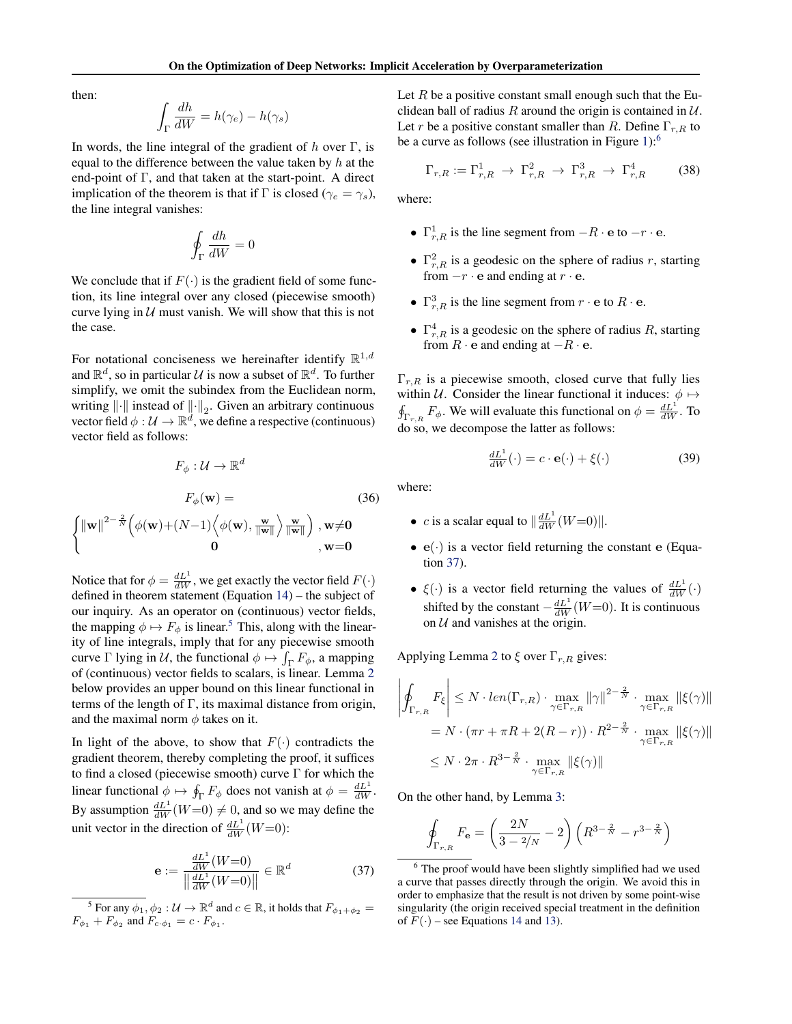<span id="page-14-0"></span>then:

$$
\int_{\Gamma} \frac{dh}{dW} = h(\gamma_e) - h(\gamma_s)
$$

In words, the line integral of the gradient of  $h$  over Γ, is equal to the difference between the value taken by  $h$  at the end-point of Γ, and that taken at the start-point. A direct implication of the theorem is that if Γ is closed ( $\gamma_e = \gamma_s$ ), the line integral vanishes:

$$
\oint_{\Gamma}\frac{dh}{dW}=0
$$

We conclude that if  $F(\cdot)$  is the gradient field of some function, its line integral over any closed (piecewise smooth) curve lying in  $U$  must vanish. We will show that this is not the case.

For notational conciseness we hereinafter identify  $\mathbb{R}^{1,d}$ and  $\mathbb{R}^d$ , so in particular U is now a subset of  $\mathbb{R}^d$ . To further simplify, we omit the subindex from the Euclidean norm, writing  $\left\| \cdot \right\|$  instead of  $\left\| \cdot \right\|_2$ . Given an arbitrary continuous vector field  $\phi: \mathcal{U} \to \mathbb{R}^d$ , we define a respective (continuous) vector field as follows:

$$
F_{\phi}: \mathcal{U} \to \mathbb{R}^{d}
$$

$$
F_{\phi}(\mathbf{w}) = \begin{cases} \|\mathbf{w}\|^{2-\frac{2}{N}} \Big(\phi(\mathbf{w}) + (N-1) \Big\langle \phi(\mathbf{w}), \frac{\mathbf{w}}{\|\mathbf{w}\|} \Big\rangle \frac{\mathbf{w}}{\|\mathbf{w}\|} \Big) , \mathbf{w} \neq \mathbf{0} \\ \mathbf{0} , \mathbf{w} = \mathbf{0} \end{cases}
$$
(36)

Notice that for  $\phi = \frac{dL^1}{dW}$ , we get exactly the vector field  $F(\cdot)$ defined in theorem statement (Equation [14\)](#page-5-0) – the subject of our inquiry. As an operator on (continuous) vector fields, the mapping  $\phi \mapsto F_{\phi}$  is linear.<sup>5</sup> This, along with the linearity of line integrals, imply that for any piecewise smooth curve  $\Gamma$  lying in U, the functional  $\phi \mapsto \int_{\Gamma} F_{\phi}$ , a mapping of (continuous) vector fields to scalars, is linear. Lemma [2](#page-15-0) below provides an upper bound on this linear functional in terms of the length of Γ, its maximal distance from origin, and the maximal norm  $\phi$  takes on it.

In light of the above, to show that  $F(\cdot)$  contradicts the gradient theorem, thereby completing the proof, it suffices to find a closed (piecewise smooth) curve  $\Gamma$  for which the linear functional  $\phi \mapsto \oint_{\Gamma} F_{\phi}$  does not vanish at  $\phi = \frac{dL^1}{dW}$ . By assumption  $\frac{dL^1}{dW}(W=0) \neq 0$ , and so we may define the unit vector in the direction of  $\frac{dL^1}{dW}(W=0)$ :

$$
\mathbf{e} := \frac{\frac{dL^1}{dW}(W=0)}{\left\| \frac{dL^1}{dW}(W=0) \right\|} \in \mathbb{R}^d \tag{37}
$$

Let  $R$  be a positive constant small enough such that the Euclidean ball of radius R around the origin is contained in  $U$ . Let r be a positive constant smaller than R. Define  $\Gamma_{r,R}$  to be a curve as follows (see illustration in Figure [1\)](#page-5-0):<sup>6</sup>

$$
\Gamma_{r,R} := \Gamma_{r,R}^1 \to \Gamma_{r,R}^2 \to \Gamma_{r,R}^3 \to \Gamma_{r,R}^4 \tag{38}
$$

where:

- $\Gamma^1_{r,R}$  is the line segment from  $-R \cdot e$  to  $-r \cdot e$ .
- $\Gamma_{r,R}^2$  is a geodesic on the sphere of radius r, starting from  $-r \cdot e$  and ending at  $r \cdot e$ .
- $\Gamma^3_{r,R}$  is the line segment from  $r \cdot e$  to  $R \cdot e$ .
- $\Gamma^4_{r,R}$  is a geodesic on the sphere of radius R, starting from  $R \cdot e$  and ending at  $-R \cdot e$ .

 $\Gamma_{r,R}$  is a piecewise smooth, closed curve that fully lies within U. Consider the linear functional it induces:  $\phi \mapsto$  $\oint_{\Gamma_{r,R}} F_{\phi}$ . We will evaluate this functional on  $\phi = \frac{dL^1}{dW}$ . To do so, we decompose the latter as follows:

$$
\frac{dL^1}{dW}(\cdot) = c \cdot \mathbf{e}(\cdot) + \xi(\cdot) \tag{39}
$$

where:

- *c* is a scalar equal to  $\left\| \frac{dL^1}{dW}(W=0) \right\|$ .
- $e(\cdot)$  is a vector field returning the constant e (Equation 37).
- $\xi(\cdot)$  is a vector field returning the values of  $\frac{dL^1}{dW}(\cdot)$ shifted by the constant  $-\frac{dL^1}{dW}(W=0)$ . It is continuous on  $U$  and vanishes at the origin.

Applying Lemma [2](#page-15-0) to  $\xi$  over  $\Gamma_{r,R}$  gives:

$$
\left| \oint_{\Gamma_{r,R}} F_{\xi} \right| \le N \cdot len(\Gamma_{r,R}) \cdot \max_{\gamma \in \Gamma_{r,R}} ||\gamma||^{2 - \frac{2}{N}} \cdot \max_{\gamma \in \Gamma_{r,R}} ||\xi(\gamma)||
$$
  
=  $N \cdot (\pi r + \pi R + 2(R - r)) \cdot R^{2 - \frac{2}{N}} \cdot \max_{\gamma \in \Gamma_{r,R}} ||\xi(\gamma)||$   
 $\le N \cdot 2\pi \cdot R^{3 - \frac{2}{N}} \cdot \max_{\gamma \in \Gamma_{r,R}} ||\xi(\gamma)||$ 

On the other hand, by Lemma [3:](#page-15-0)

$$
\oint_{\Gamma_{r,R}} F_{\mathbf{e}} = \left(\frac{2N}{3 - \frac{2}{N}} - 2\right) \left(R^{3 - \frac{2}{N}} - r^{3 - \frac{2}{N}}\right)
$$

<sup>&</sup>lt;sup>5</sup> For any  $\phi_1, \phi_2 : \mathcal{U} \to \mathbb{R}^d$  and  $c \in \mathbb{R}$ , it holds that  $F_{\phi_1 + \phi_2} =$  $F_{\phi_1} + F_{\phi_2}$  and  $F_{c \cdot \phi_1} = c \cdot F_{\phi_1}$ .

 $6$  The proof would have been slightly simplified had we used a curve that passes directly through the origin. We avoid this in order to emphasize that the result is not driven by some point-wise singularity (the origin received special treatment in the definition of  $F(\cdot)$  – see Equations [14](#page-5-0) and [13\)](#page-4-0).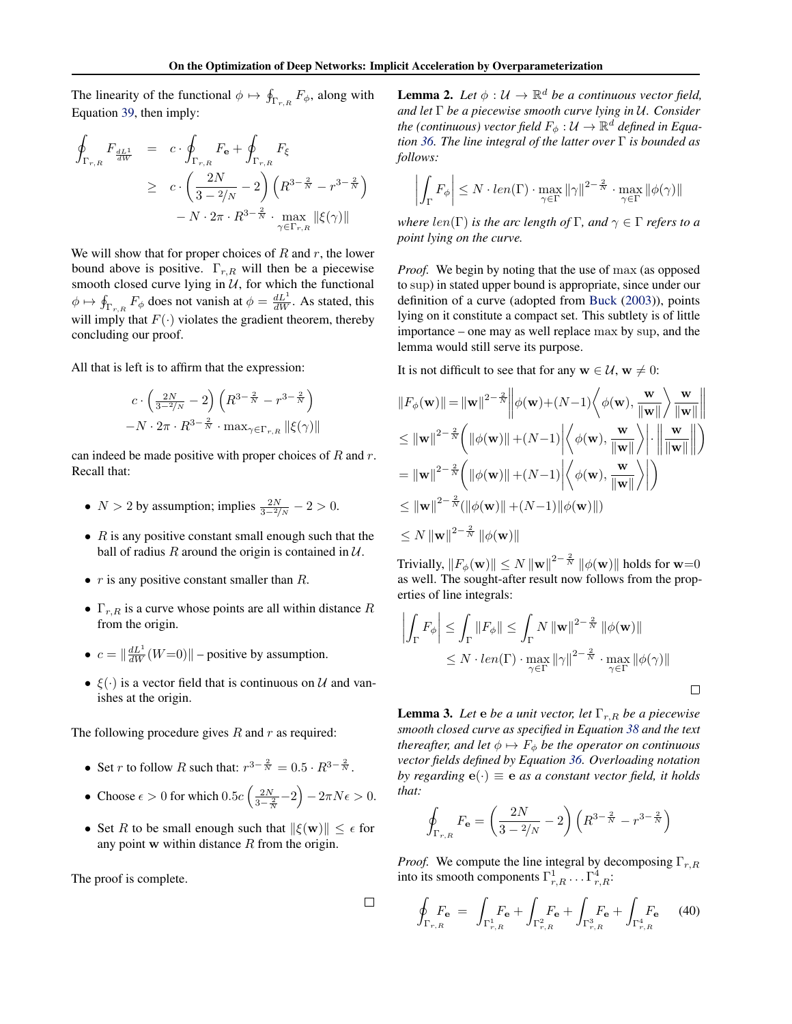<span id="page-15-0"></span>The linearity of the functional  $\phi \mapsto \oint_{\Gamma_{r,R}} F_{\phi}$ , along with Equation [39,](#page-14-0) then imply:

$$
\oint_{\Gamma_{r,R}} F_{\frac{dL^1}{dW}} = c \cdot \oint_{\Gamma_{r,R}} F_{\mathbf{e}} + \oint_{\Gamma_{r,R}} F_{\xi}
$$
\n
$$
\geq c \cdot \left(\frac{2N}{3 - 2/N} - 2\right) \left(R^{3 - \frac{2}{N}} - r^{3 - \frac{2}{N}}\right)
$$
\n
$$
- N \cdot 2\pi \cdot R^{3 - \frac{2}{N}} \cdot \max_{\gamma \in \Gamma_{r,R}} \|\xi(\gamma)\|
$$

We will show that for proper choices of  $R$  and  $r$ , the lower bound above is positive.  $\Gamma_{r,R}$  will then be a piecewise smooth closed curve lying in  $U$ , for which the functional  $\phi \mapsto \oint_{\Gamma_{r,R}} F_{\phi}$  does not vanish at  $\phi = \frac{dL^1}{dW}$ . As stated, this will imply that  $F(\cdot)$  violates the gradient theorem, thereby concluding our proof.

All that is left is to affirm that the expression:

$$
c \cdot \left(\frac{2N}{3-2/N} - 2\right) \left(R^{3-\frac{2}{N}} - r^{3-\frac{2}{N}}\right)
$$

$$
-N \cdot 2\pi \cdot R^{3-\frac{2}{N}} \cdot \max_{\gamma \in \Gamma_{r,R}} \|\xi(\gamma)\|
$$

can indeed be made positive with proper choices of  $R$  and  $r$ . Recall that:

- $N > 2$  by assumption; implies  $\frac{2N}{3-2/N} 2 > 0$ .
- $R$  is any positive constant small enough such that the ball of radius R around the origin is contained in  $U$ .
- $r$  is any positive constant smaller than  $R$ .
- $\Gamma_{r,R}$  is a curve whose points are all within distance R from the origin.
- $c = ||\frac{dL^1}{dW}(W=0)||$  positive by assumption.
- $\xi(\cdot)$  is a vector field that is continuous on U and vanishes at the origin.

The following procedure gives  $R$  and  $r$  as required:

- Set *r* to follow *R* such that:  $r^{3-\frac{2}{N}} = 0.5 \cdot R^{3-\frac{2}{N}}$ .
- Choose  $\epsilon > 0$  for which  $0.5c \left( \frac{2N}{3 \frac{2}{N}} 2 \right) 2\pi N \epsilon > 0$ .
- Set R to be small enough such that  $\|\xi(\mathbf{w})\| \leq \epsilon$  for any point  $w$  within distance  $R$  from the origin.

The proof is complete.

 $\Box$ 

**Lemma 2.** Let  $\phi : \mathcal{U} \to \mathbb{R}^d$  be a continuous vector field, *and let* Γ *be a piecewise smooth curve lying in* U*. Consider* the (continuous) vector field  $F_\phi:\mathcal{U}\rightarrow\mathbb{R}^d$  defined in Equa*tion [36.](#page-14-0) The line integral of the latter over* Γ *is bounded as follows:*

$$
\left| \int_{\Gamma} F_{\phi} \right| \leq N \cdot len(\Gamma) \cdot \max_{\gamma \in \Gamma} ||\gamma||^{2 - \frac{2}{N}} \cdot \max_{\gamma \in \Gamma} ||\phi(\gamma)||
$$

*where*  $len(\Gamma)$  *is the arc length of*  $\Gamma$ *, and*  $\gamma \in \Gamma$  *refers to a point lying on the curve.*

*Proof.* We begin by noting that the use of max (as opposed to sup) in stated upper bound is appropriate, since under our definition of a curve (adopted from [Buck](#page-8-0) [\(2003\)](#page-8-0)), points lying on it constitute a compact set. This subtlety is of little importance – one may as well replace max by sup, and the lemma would still serve its purpose.

It is not difficult to see that for any  $w \in U$ ,  $w \neq 0$ :

$$
||F_{\phi}(\mathbf{w})|| = ||\mathbf{w}||^{2-\frac{2}{N}} \left\| \phi(\mathbf{w}) + (N-1) \left\langle \phi(\mathbf{w}), \frac{\mathbf{w}}{\|\mathbf{w}\|} \right\rangle \frac{\mathbf{w}}{\|\mathbf{w}\|} \right\|
$$
  
\n
$$
\leq ||\mathbf{w}||^{2-\frac{2}{N}} \left( ||\phi(\mathbf{w})|| + (N-1) \left| \left\langle \phi(\mathbf{w}), \frac{\mathbf{w}}{\|\mathbf{w}\|} \right\rangle \right| \cdot \left\| \frac{\mathbf{w}}{\|\mathbf{w}\|} \right\| \right)
$$
  
\n
$$
= ||\mathbf{w}||^{2-\frac{2}{N}} \left( ||\phi(\mathbf{w})|| + (N-1) \left| \left\langle \phi(\mathbf{w}), \frac{\mathbf{w}}{\|\mathbf{w}\|} \right\rangle \right| \right)
$$
  
\n
$$
\leq ||\mathbf{w}||^{2-\frac{2}{N}} (||\phi(\mathbf{w})|| + (N-1) ||\phi(\mathbf{w})||)
$$
  
\n
$$
\leq N ||\mathbf{w}||^{2-\frac{2}{N}} ||\phi(\mathbf{w})||
$$

Trivially,  $\|F_\phi({\bf w})\| \le N \, \|{\bf w}\|^{2-\frac{2}{N}} \, \|\phi({\bf w})\|$  holds for  ${\bf w}{=}0$ as well. The sought-after result now follows from the properties of line integrals:

$$
\left| \int_{\Gamma} F_{\phi} \right| \leq \int_{\Gamma} \|F_{\phi}\| \leq \int_{\Gamma} N \|\mathbf{w}\|^{2-\frac{2}{N}} \|\phi(\mathbf{w})\|
$$
  

$$
\leq N \cdot len(\Gamma) \cdot \max_{\gamma \in \Gamma} \|\gamma\|^{2-\frac{2}{N}} \cdot \max_{\gamma \in \Gamma} \|\phi(\gamma)\|
$$

**Lemma 3.** *Let*  $e$  *be a unit vector, let*  $\Gamma_{r,R}$  *be a piecewise smooth closed curve as specified in Equation [38](#page-14-0) and the text thereafter, and let*  $\phi \mapsto F_{\phi}$  *be the operator on continuous vector fields defined by Equation [36.](#page-14-0) Overloading notation by regarding*  $e(\cdot) \equiv e$  *as a constant vector field, it holds that:*

$$
\oint_{\Gamma_{r,R}} F_{\mathbf{e}} = \left(\frac{2N}{3 - \frac{2}{N}} - 2\right) \left(R^{3 - \frac{2}{N}} - r^{3 - \frac{2}{N}}\right)
$$

*Proof.* We compute the line integral by decomposing  $\Gamma_{r,R}$ into its smooth components  $\Gamma^1_{r,R} \dots \Gamma^4_{r,R}$ :

$$
\oint_{\Gamma_{r,R}} F_{\mathbf{e}} = \int_{\Gamma_{r,R}^{1}} F_{\mathbf{e}} + \int_{\Gamma_{r,R}^{2}} F_{\mathbf{e}} + \int_{\Gamma_{r,R}^{3}} F_{\mathbf{e}} + \int_{\Gamma_{r,R}^{4}} F_{\mathbf{e}} \qquad (40)
$$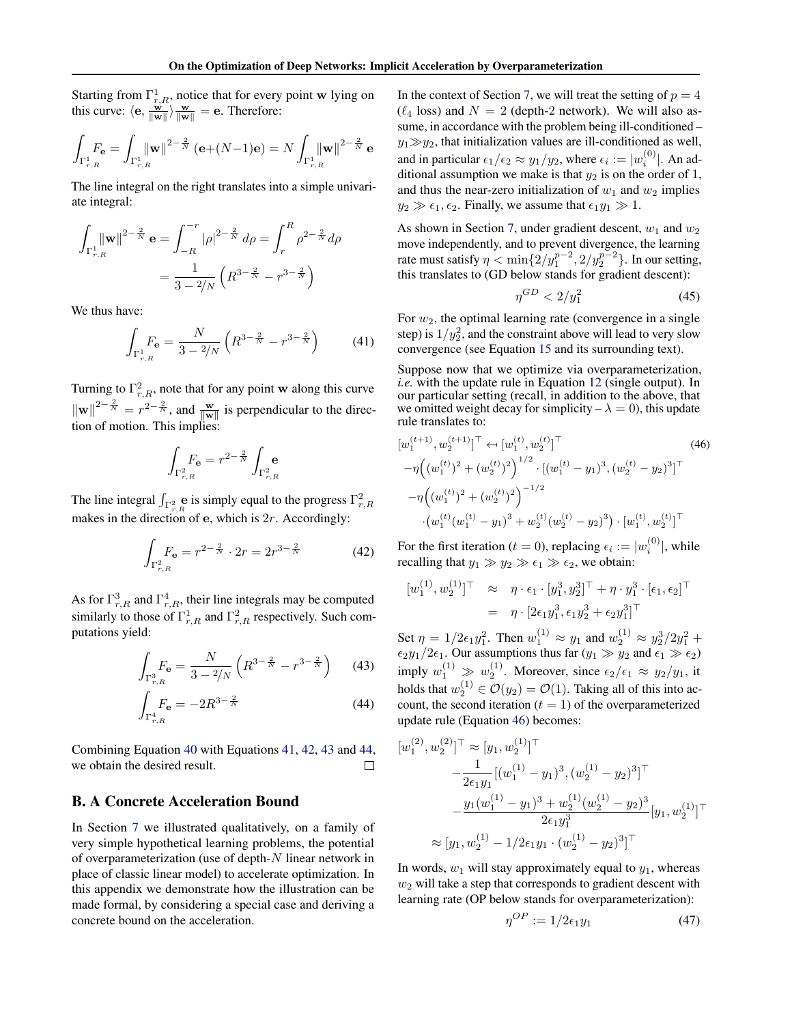<span id="page-16-0"></span>Starting from  $\Gamma^1_{r,R}$ , notice that for every point w lying on this curve:  $\langle e, \frac{\vec{w}}{\|\vec{w}\|}\rangle \frac{w}{\|\vec{w}\|} = e$ . Therefore:

$$
\int_{\Gamma^1_{r,R}}\!\!\! F_{\bf e}=\int_{\Gamma^1_{r,R}}\!\! \|\mathbf{w}\|^{2-\frac{2}{N}}\,(\mathbf{e}\!+\!(N\!-\!1)\mathbf{e})=N\int_{\Gamma^1_{r,R}}\!\!\|\mathbf{w}\|^{2-\frac{2}{N}}\,\mathbf{e}
$$

The line integral on the right translates into a simple univariate integral:

$$
\int_{\Gamma_{r,R}^1} \|\mathbf{w}\|^{2-\frac{2}{N}} \mathbf{e} = \int_{-R}^{-r} |\rho|^{2-\frac{2}{N}} d\rho = \int_r^R \rho^{2-\frac{2}{N}} d\rho
$$

$$
= \frac{1}{3 - \frac{2}{N}} \left( R^{3-\frac{2}{N}} - r^{3-\frac{2}{N}} \right)
$$

We thus have:

$$
\int_{\Gamma_{r,R}^1} F_{\mathbf{e}} = \frac{N}{3 - 2/N} \left( R^{3 - \frac{2}{N}} - r^{3 - \frac{2}{N}} \right) \tag{41}
$$

Turning to  $\Gamma^2_{r,R}$ , note that for any point w along this curve  $\|\mathbf{w}\|^{2-\frac{2}{N}} = r^{2-\frac{2}{N}}$ , and  $\frac{\mathbf{w}}{\|\mathbf{w}\|}$  is perpendicular to the direction of motion. This implies:

$$
\int_{\Gamma_{r,R}^2} F_{\mathbf{e}} = r^{2-\frac{2}{N}} \int_{\Gamma_{r,R}^2}
$$

The line integral  $\int_{\Gamma_{r,R}^2}$  e is simply equal to the progress  $\Gamma_{r,R}^2$ makes in the direction of  $e$ , which is  $2r$ . Accordingly:

$$
\int_{\Gamma_{r,R}^2} F_{\mathbf{e}} = r^{2 - \frac{2}{N}} \cdot 2r = 2r^{3 - \frac{2}{N}} \tag{42}
$$

As for  $\Gamma^3_{r,R}$  and  $\Gamma^4_{r,R}$ , their line integrals may be computed similarly to those of  $\Gamma^1_{r,R}$  and  $\Gamma^2_{r,R}$  respectively. Such computations yield:

$$
\int_{\Gamma_{r,R}^3} F_{\mathbf{e}} = \frac{N}{3 - 2/N} \left( R^{3 - \frac{2}{N}} - r^{3 - \frac{2}{N}} \right) \tag{43}
$$

$$
\int_{\Gamma_{r,R}^4} F_{\mathbf{e}} = -2R^{3-\frac{2}{N}} \tag{44}
$$

Combining Equation [40](#page-15-0) with Equations 41, 42, 43 and 44, we obtain the desired result.  $\Box$ 

#### B. A Concrete Acceleration Bound

In Section [7](#page-5-0) we illustrated qualitatively, on a family of very simple hypothetical learning problems, the potential of overparameterization (use of depth- $N$  linear network in place of classic linear model) to accelerate optimization. In this appendix we demonstrate how the illustration can be made formal, by considering a special case and deriving a concrete bound on the acceleration.

In the context of Section [7,](#page-5-0) we will treat the setting of  $p = 4$  $(\ell_4$  loss) and  $N = 2$  (depth-2 network). We will also assume, in accordance with the problem being ill-conditioned –  $y_1 \gg y_2$ , that initialization values are ill-conditioned as well, and in particular  $\epsilon_1/\epsilon_2 \approx y_1/y_2$ , where  $\epsilon_i := |w_i^{(0)}|$ . An additional assumption we make is that  $y_2$  is on the order of 1, and thus the near-zero initialization of  $w_1$  and  $w_2$  implies  $y_2 \gg \epsilon_1, \epsilon_2$ . Finally, we assume that  $\epsilon_1 y_1 \gg 1$ .

As shown in Section [7,](#page-5-0) under gradient descent,  $w_1$  and  $w_2$ move independently, and to prevent divergence, the learning rate must satisfy  $\eta < \min\{2/y_1^{p-2}, 2/y_2^{p-2}\}\$ . In our setting, this translates to (GD below stands for gradient descent):

$$
\eta^{GD} < 2/y_1^2 \tag{45}
$$

For  $w_2$ , the optimal learning rate (convergence in a single step) is  $1/y_2^2$ , and the constraint above will lead to very slow convergence (see Equation [15](#page-6-0) and its surrounding text).

Suppose now that we optimize via overparameterization, *i.e.* with the update rule in Equation [12](#page-4-0) (single output). In our particular setting (recall, in addition to the above, that we omitted weight decay for simplicity  $-\lambda = 0$ ), this update rule translates to:

$$
[w_1^{(t+1)}, w_2^{(t+1)}]^\top \leftarrow [w_1^{(t)}, w_2^{(t)}]^\top
$$
\n
$$
-\eta \left( (w_1^{(t)})^2 + (w_2^{(t)})^2 \right)^{1/2} \cdot \left[ (w_1^{(t)} - y_1)^3, (w_2^{(t)} - y_2)^3 \right]^\top
$$
\n
$$
-\eta \left( (w_1^{(t)})^2 + (w_2^{(t)})^2 \right)^{-1/2}
$$
\n
$$
\cdot \left( w_1^{(t)} (w_1^{(t)} - y_1)^3 + w_2^{(t)} (w_2^{(t)} - y_2)^3 \right) \cdot \left[ w_1^{(t)}, w_2^{(t)} \right]^\top
$$
\n(46)

For the first iteration ( $t = 0$ ), replacing  $\epsilon_i := |w_i^{(0)}|$ , while recalling that  $y_1 \gg y_2 \gg \epsilon_1 \gg \epsilon_2$ , we obtain:

$$
[w_1^{(1)}, w_2^{(1)}]^\top \approx \eta \cdot \epsilon_1 \cdot [y_1^3, y_2^3]^\top + \eta \cdot y_1^3 \cdot [\epsilon_1, \epsilon_2]^\top = \eta \cdot [2\epsilon_1 y_1^3, \epsilon_1 y_2^3 + \epsilon_2 y_1^3]^\top
$$

Set  $\eta = 1/2\epsilon_1 y_1^2$ . Then  $w_1^{(1)} \approx y_1$  and  $w_2^{(1)} \approx y_2^3/2y_1^2 +$  $\epsilon_2 y_1/2\epsilon_1$ . Our assumptions thus far  $(y_1 \gg y_2$  and  $\epsilon_1 \gg \epsilon_2$ ) imply  $w_1^{(1)} \gg w_2^{(1)}$ . Moreover, since  $\epsilon_2/\epsilon_1 \approx y_2/y_1$ , it holds that  $w_2^{(1)} \in \mathcal{O}(y_2) = \mathcal{O}(1)$ . Taking all of this into account, the second iteration  $(t = 1)$  of the overparameterized update rule (Equation 46) becomes:

$$
[w_1^{(2)}, w_2^{(2)}]^\top \approx [y_1, w_2^{(1)}]^\top
$$
  

$$
-\frac{1}{2\epsilon_1 y_1} [(w_1^{(1)} - y_1)^3, (w_2^{(1)} - y_2)^3]^\top
$$
  

$$
-\frac{y_1 (w_1^{(1)} - y_1)^3 + w_2^{(1)} (w_2^{(1)} - y_2)^3}{2\epsilon_1 y_1^3} [y_1, w_2^{(1)}]^\top
$$
  

$$
\approx [y_1, w_2^{(1)} - 1/2\epsilon_1 y_1 \cdot (w_2^{(1)} - y_2)^3]^\top
$$

In words,  $w_1$  will stay approximately equal to  $y_1$ , whereas  $w_2$  will take a step that corresponds to gradient descent with learning rate (OP below stands for overparameterization):

η

$$
\eta^{OP} := 1/2\epsilon_1 y_1 \tag{47}
$$